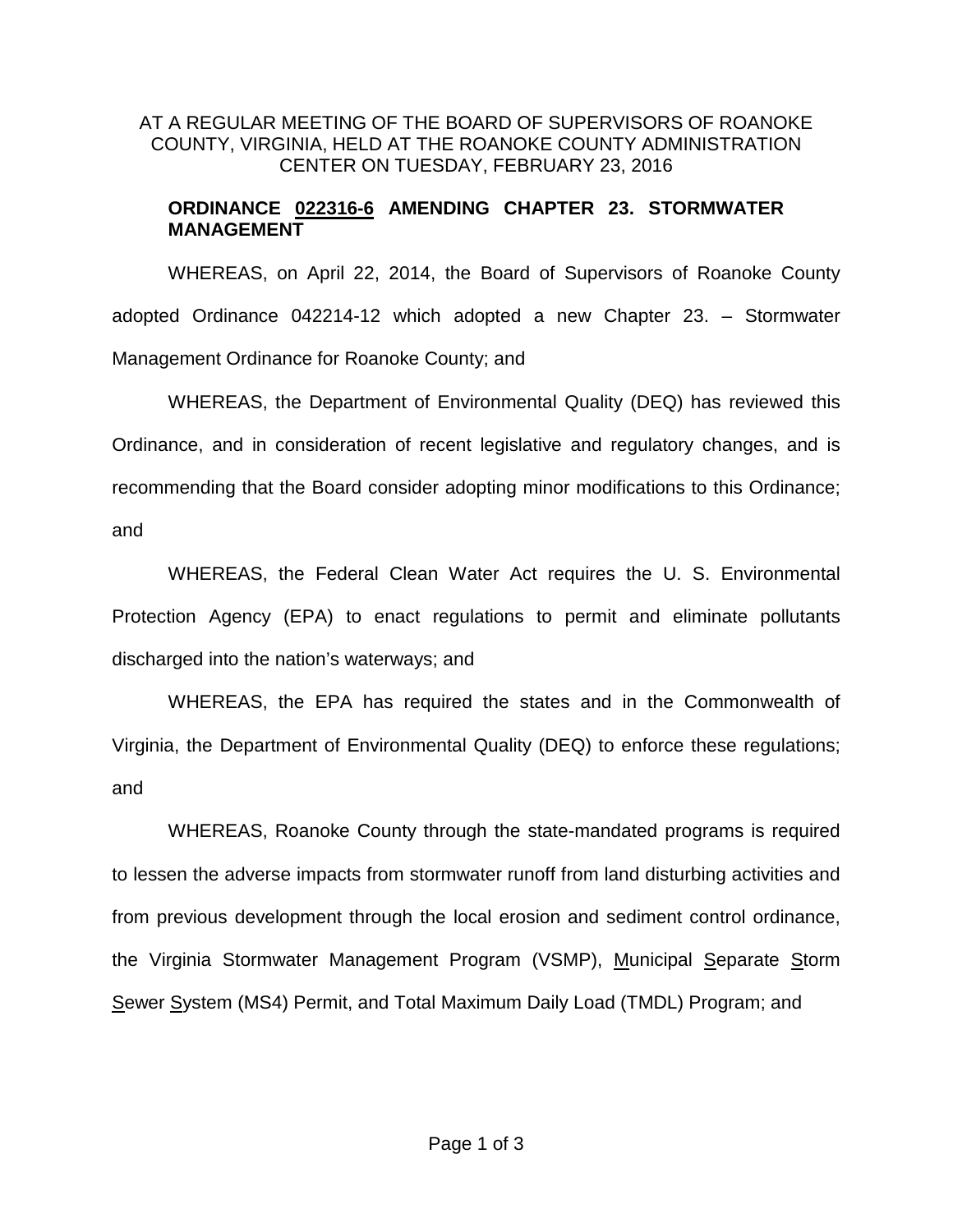## AT A REGULAR MEETING OF THE BOARD OF SUPERVISORS OF ROANOKE COUNTY, VIRGINIA, HELD AT THE ROANOKE COUNTY ADMINISTRATION CENTER ON TUESDAY, FEBRUARY 23, 2016

## **ORDINANCE 022316-6 AMENDING CHAPTER 23. STORMWATER MANAGEMENT**

WHEREAS, on April 22, 2014, the Board of Supervisors of Roanoke County adopted Ordinance 042214-12 which adopted a new Chapter 23. – Stormwater Management Ordinance for Roanoke County; and

WHEREAS, the Department of Environmental Quality (DEQ) has reviewed this Ordinance, and in consideration of recent legislative and regulatory changes, and is recommending that the Board consider adopting minor modifications to this Ordinance; and

WHEREAS, the Federal Clean Water Act requires the U. S. Environmental Protection Agency (EPA) to enact regulations to permit and eliminate pollutants discharged into the nation's waterways; and

WHEREAS, the EPA has required the states and in the Commonwealth of Virginia, the Department of Environmental Quality (DEQ) to enforce these regulations; and

WHEREAS, Roanoke County through the state-mandated programs is required to lessen the adverse impacts from stormwater runoff from land disturbing activities and from previous development through the local erosion and sediment control ordinance, the Virginia Stormwater Management Program (VSMP), Municipal Separate Storm Sewer System (MS4) Permit, and Total Maximum Daily Load (TMDL) Program; and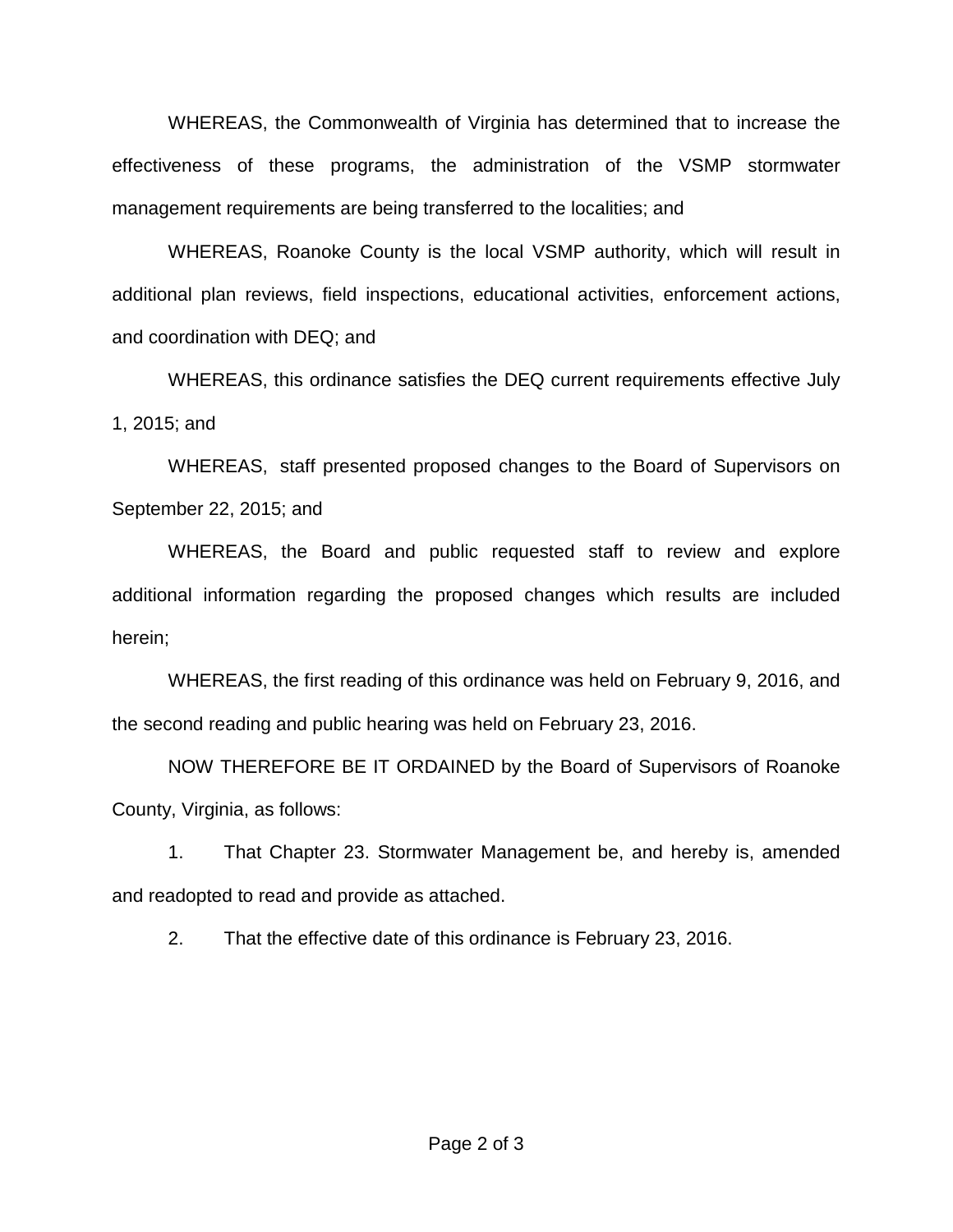WHEREAS, the Commonwealth of Virginia has determined that to increase the effectiveness of these programs, the administration of the VSMP stormwater management requirements are being transferred to the localities; and

WHEREAS, Roanoke County is the local VSMP authority, which will result in additional plan reviews, field inspections, educational activities, enforcement actions, and coordination with DEQ; and

WHEREAS, this ordinance satisfies the DEQ current requirements effective July 1, 2015; and

WHEREAS, staff presented proposed changes to the Board of Supervisors on September 22, 2015; and

WHEREAS, the Board and public requested staff to review and explore additional information regarding the proposed changes which results are included herein;

WHEREAS, the first reading of this ordinance was held on February 9, 2016, and the second reading and public hearing was held on February 23, 2016.

NOW THEREFORE BE IT ORDAINED by the Board of Supervisors of Roanoke County, Virginia, as follows:

1. That Chapter 23. Stormwater Management be, and hereby is, amended and readopted to read and provide as attached.

2. That the effective date of this ordinance is February 23, 2016.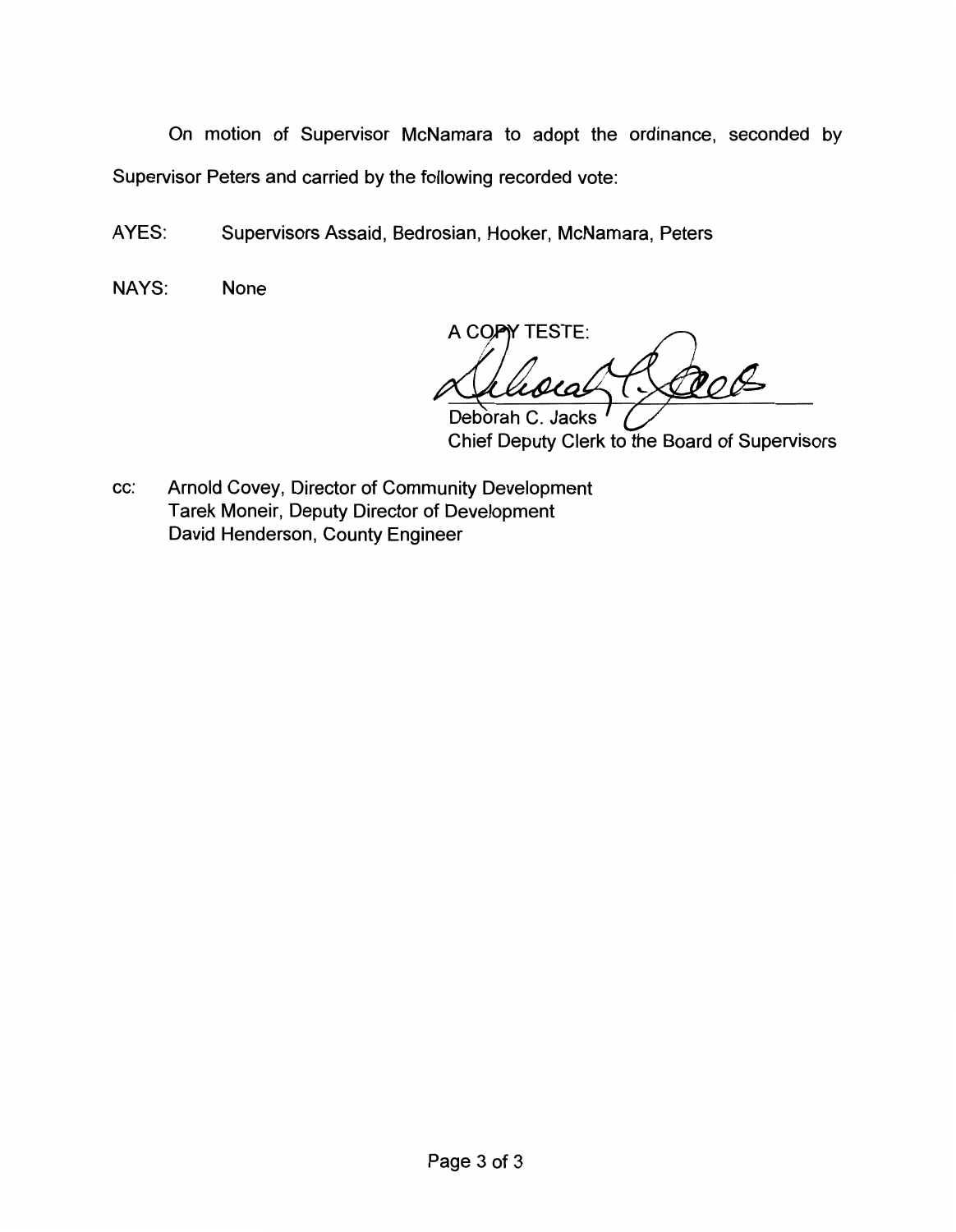On motion of Supervisor McNamara to adopt the ordinance, seconded by Supervisor Peters and carried by the following recorded vote:

AYES: Supervisors Assaid, Bedrosian, Hooker, McNamara, Peters

NAYS: None

A COPY TESTE: LO Deborah C. Jacks

Chief Deputy Clerk to the Board of Supervisors

cc: Arnold Covey, Director of Community Development Tarek Moneir, Deputy Director of Development David Henderson, County Engineer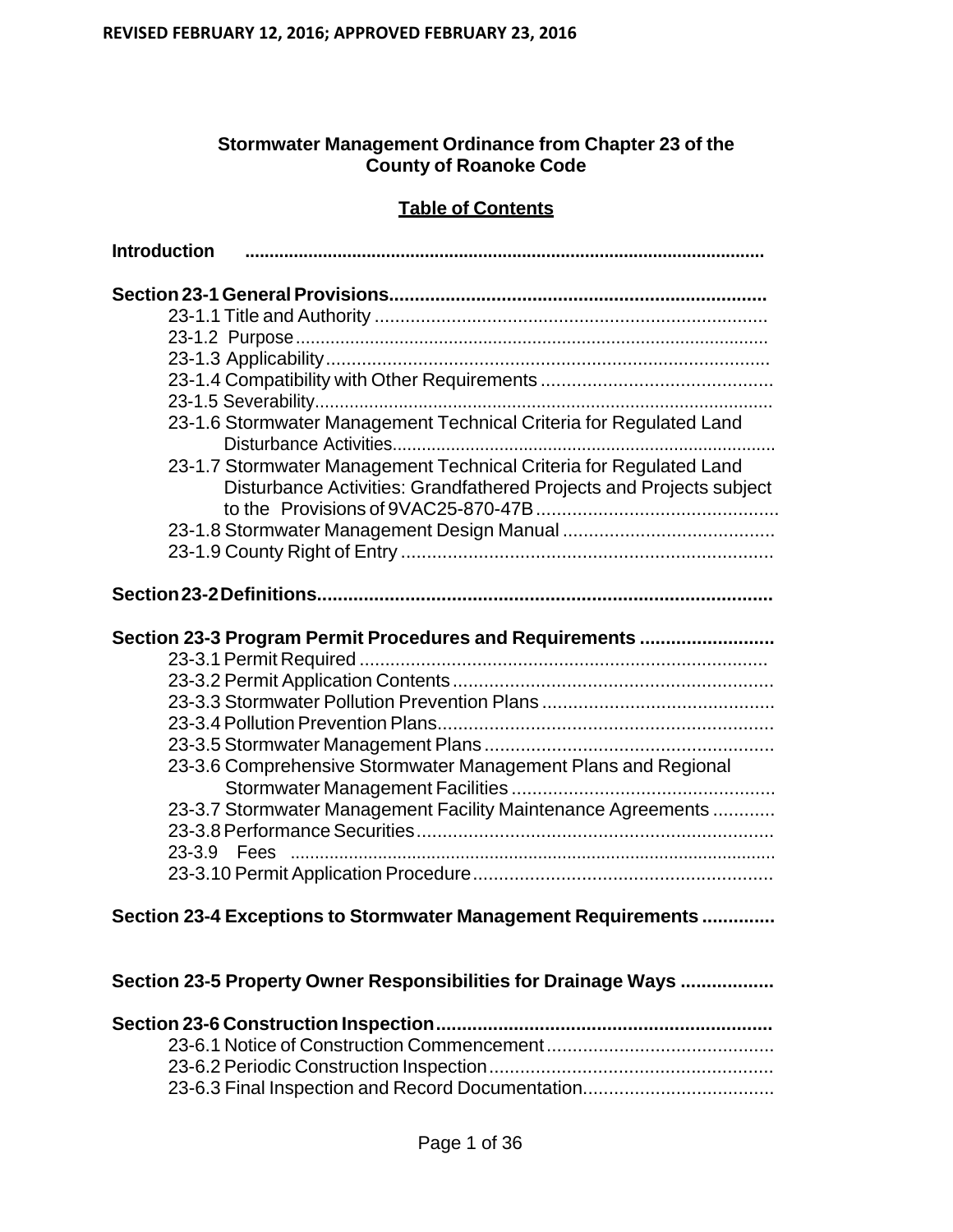## **Stormwater Management Ordinance from Chapter 23 of the County of Roanoke Code**

## **Table of Contents**

| <b>Introduction</b>                                           |                                                                                                                                           |
|---------------------------------------------------------------|-------------------------------------------------------------------------------------------------------------------------------------------|
|                                                               |                                                                                                                                           |
|                                                               |                                                                                                                                           |
|                                                               |                                                                                                                                           |
|                                                               |                                                                                                                                           |
|                                                               |                                                                                                                                           |
|                                                               |                                                                                                                                           |
|                                                               | 23-1.6 Stormwater Management Technical Criteria for Regulated Land                                                                        |
|                                                               | 23-1.7 Stormwater Management Technical Criteria for Regulated Land<br>Disturbance Activities: Grandfathered Projects and Projects subject |
|                                                               |                                                                                                                                           |
|                                                               |                                                                                                                                           |
|                                                               |                                                                                                                                           |
|                                                               | Section 23-3 Program Permit Procedures and Requirements                                                                                   |
|                                                               |                                                                                                                                           |
|                                                               |                                                                                                                                           |
|                                                               |                                                                                                                                           |
|                                                               |                                                                                                                                           |
|                                                               |                                                                                                                                           |
|                                                               | 23-3.6 Comprehensive Stormwater Management Plans and Regional                                                                             |
|                                                               |                                                                                                                                           |
|                                                               | 23-3.7 Stormwater Management Facility Maintenance Agreements                                                                              |
|                                                               |                                                                                                                                           |
|                                                               |                                                                                                                                           |
|                                                               |                                                                                                                                           |
| Section 23-4 Exceptions to Stormwater Management Requirements |                                                                                                                                           |
|                                                               | Section 23-5 Property Owner Responsibilities for Drainage Ways                                                                            |
|                                                               |                                                                                                                                           |
|                                                               |                                                                                                                                           |

23-6.2 Periodic Construction Inspection ....................................................... 23-6.3 Final Inspection and Record Documentation.....................................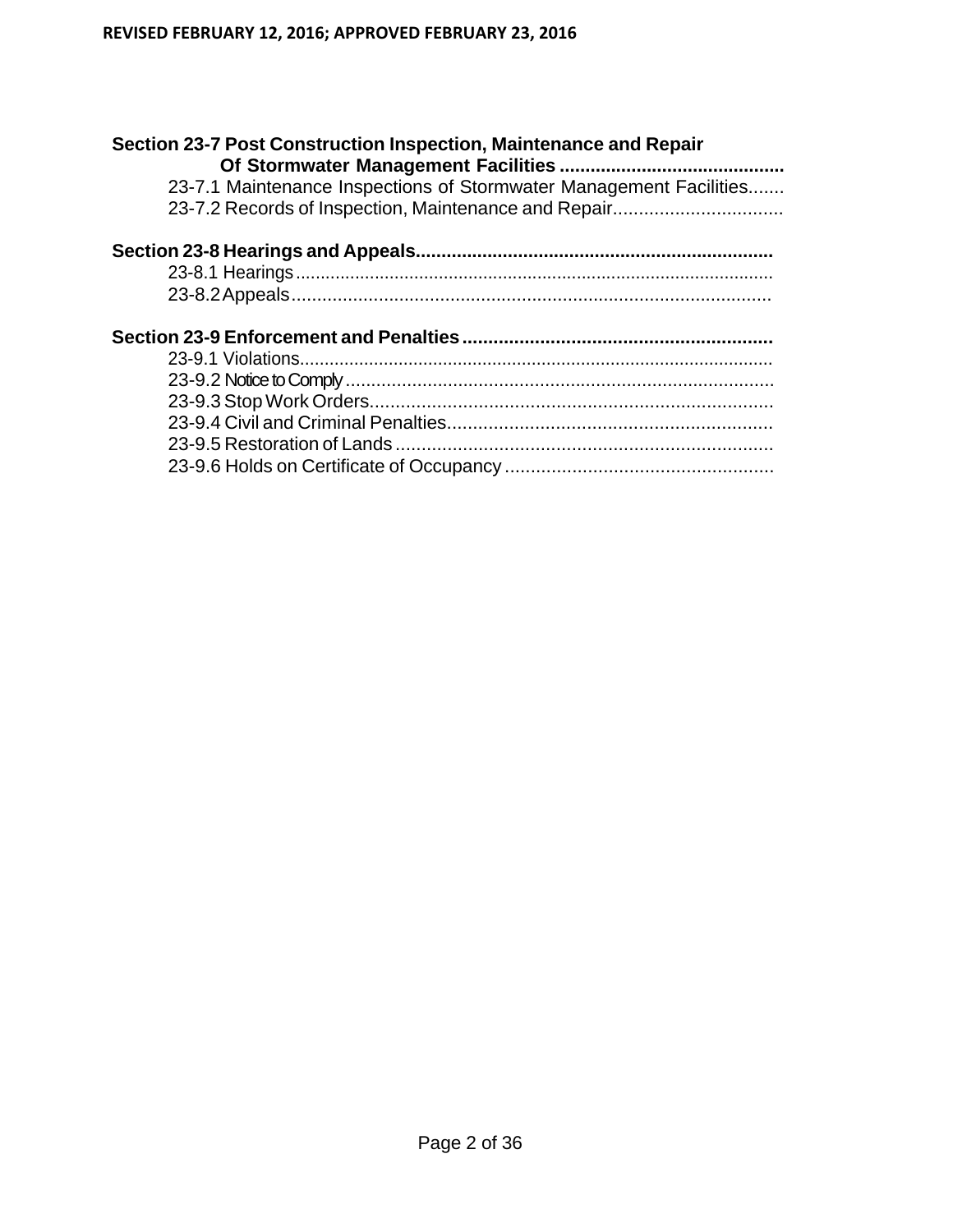| Section 23-7 Post Construction Inspection, Maintenance and Repair  |  |  |
|--------------------------------------------------------------------|--|--|
| 23-7.1 Maintenance Inspections of Stormwater Management Facilities |  |  |
| 23-7.2 Records of Inspection, Maintenance and Repair               |  |  |
|                                                                    |  |  |
|                                                                    |  |  |
|                                                                    |  |  |
|                                                                    |  |  |
|                                                                    |  |  |
|                                                                    |  |  |
|                                                                    |  |  |
|                                                                    |  |  |
|                                                                    |  |  |
|                                                                    |  |  |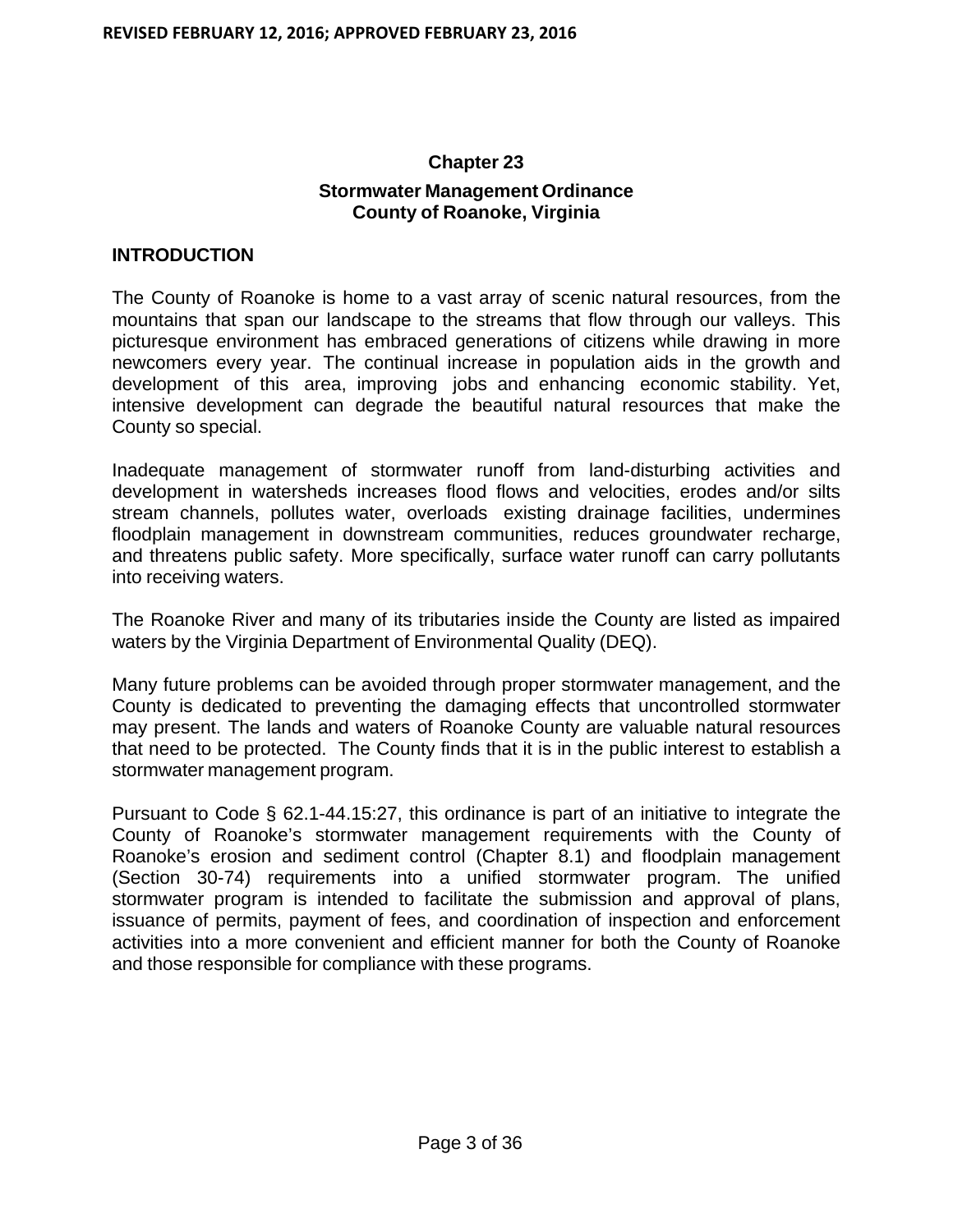# **Chapter 23 Stormwater Management Ordinance County of Roanoke, Virginia**

#### **INTRODUCTION**

The County of Roanoke is home to a vast array of scenic natural resources, from the mountains that span our landscape to the streams that flow through our valleys. This picturesque environment has embraced generations of citizens while drawing in more newcomers every year. The continual increase in population aids in the growth and development of this area, improving jobs and enhancing economic stability. Yet, intensive development can degrade the beautiful natural resources that make the County so special.

Inadequate management of stormwater runoff from land-disturbing activities and development in watersheds increases flood flows and velocities, erodes and/or silts stream channels, pollutes water, overloads existing drainage facilities, undermines floodplain management in downstream communities, reduces groundwater recharge, and threatens public safety. More specifically, surface water runoff can carry pollutants into receiving waters.

The Roanoke River and many of its tributaries inside the County are listed as impaired waters by the Virginia Department of Environmental Quality (DEQ).

Many future problems can be avoided through proper stormwater management, and the County is dedicated to preventing the damaging effects that uncontrolled stormwater may present. The lands and waters of Roanoke County are valuable natural resources that need to be protected. The County finds that it is in the public interest to establish a stormwater management program.

Pursuant to Code § 62.1-44.15:27, this ordinance is part of an initiative to integrate the County of Roanoke's stormwater management requirements with the County of Roanoke's erosion and sediment control (Chapter 8.1) and floodplain management (Section 30-74) requirements into a unified stormwater program. The unified stormwater program is intended to facilitate the submission and approval of plans, issuance of permits, payment of fees, and coordination of inspection and enforcement activities into a more convenient and efficient manner for both the County of Roanoke and those responsible for compliance with these programs.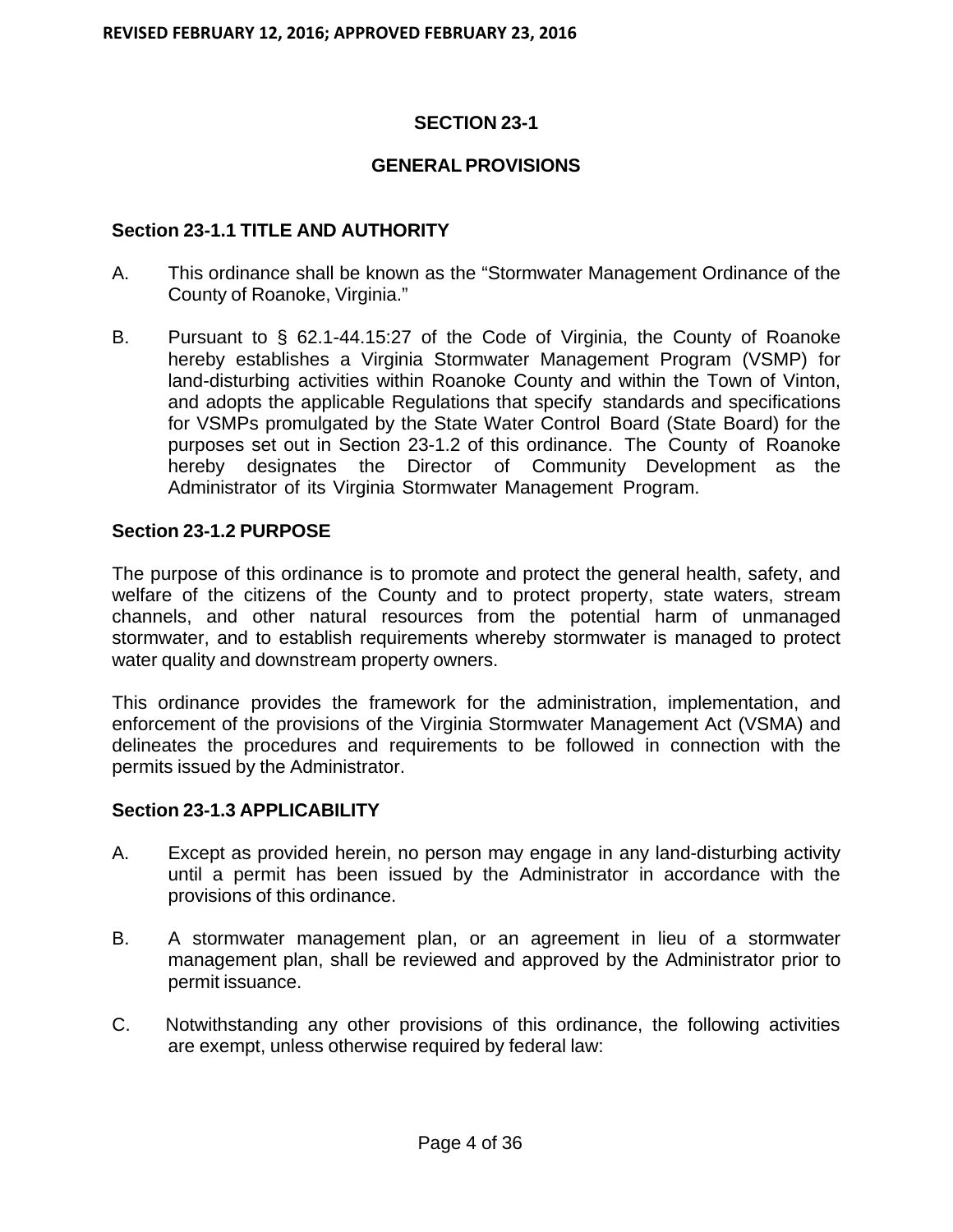## **SECTION 23-1**

## **GENERAL PROVISIONS**

## **Section 23-1.1 TITLE AND AUTHORITY**

- A. This ordinance shall be known as the "Stormwater Management Ordinance of the County of Roanoke, Virginia."
- B. Pursuant to § 62.1-44.15:27 of the Code of Virginia, the County of Roanoke hereby establishes a Virginia Stormwater Management Program (VSMP) for land-disturbing activities within Roanoke County and within the Town of Vinton, and adopts the applicable Regulations that specify standards and specifications for VSMPs promulgated by the State Water Control Board (State Board) for the purposes set out in Section 23-1.2 of this ordinance. The County of Roanoke hereby designates the Director of Community Development as the Administrator of its Virginia Stormwater Management Program.

## **Section 23-1.2 PURPOSE**

The purpose of this ordinance is to promote and protect the general health, safety, and welfare of the citizens of the County and to protect property, state waters, stream channels, and other natural resources from the potential harm of unmanaged stormwater, and to establish requirements whereby stormwater is managed to protect water quality and downstream property owners.

This ordinance provides the framework for the administration, implementation, and enforcement of the provisions of the Virginia Stormwater Management Act (VSMA) and delineates the procedures and requirements to be followed in connection with the permits issued by the Administrator.

## **Section 23-1.3 APPLICABILITY**

- A. Except as provided herein, no person may engage in any land-disturbing activity until a permit has been issued by the Administrator in accordance with the provisions of this ordinance.
- B. A stormwater management plan, or an agreement in lieu of a stormwater management plan, shall be reviewed and approved by the Administrator prior to permit issuance.
- C. Notwithstanding any other provisions of this ordinance, the following activities are exempt, unless otherwise required by federal law: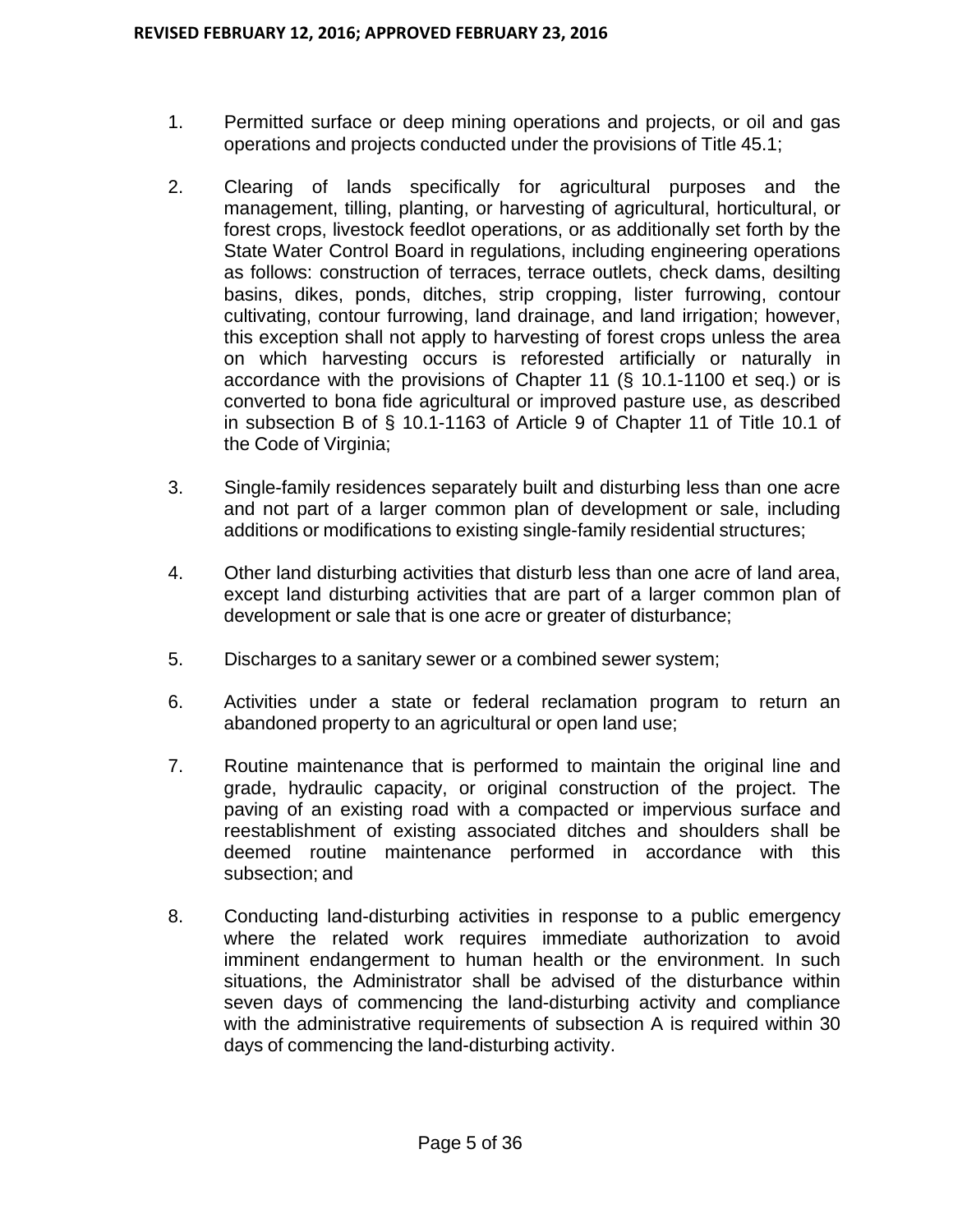- 1. Permitted surface or deep mining operations and projects, or oil and gas operations and projects conducted under the provisions of Title 45.1;
- 2. Clearing of lands specifically for agricultural purposes and the management, tilling, planting, or harvesting of agricultural, horticultural, or forest crops, livestock feedlot operations, or as additionally set forth by the State Water Control Board in regulations, including engineering operations as follows: construction of terraces, terrace outlets, check dams, desilting basins, dikes, ponds, ditches, strip cropping, lister furrowing, contour cultivating, contour furrowing, land drainage, and land irrigation; however, this exception shall not apply to harvesting of forest crops unless the area on which harvesting occurs is reforested artificially or naturally in accordance with the provisions of Chapter 11 (§ 10.1-1100 et seq.) or is converted to bona fide agricultural or improved pasture use, as described in subsection B of § 10.1-1163 of Article 9 of Chapter 11 of Title 10.1 of the Code of Virginia;
- 3. Single-family residences separately built and disturbing less than one acre and not part of a larger common plan of development or sale, including additions or modifications to existing single-family residential structures;
- 4. Other land disturbing activities that disturb less than one acre of land area, except land disturbing activities that are part of a larger common plan of development or sale that is one acre or greater of disturbance;
- 5. Discharges to a sanitary sewer or a combined sewer system;
- 6. Activities under a state or federal reclamation program to return an abandoned property to an agricultural or open land use;
- 7. Routine maintenance that is performed to maintain the original line and grade, hydraulic capacity, or original construction of the project. The paving of an existing road with a compacted or impervious surface and reestablishment of existing associated ditches and shoulders shall be deemed routine maintenance performed in accordance with this subsection; and
- 8. Conducting land-disturbing activities in response to a public emergency where the related work requires immediate authorization to avoid imminent endangerment to human health or the environment. In such situations, the Administrator shall be advised of the disturbance within seven days of commencing the land-disturbing activity and compliance with the administrative requirements of subsection A is required within 30 days of commencing the land-disturbing activity.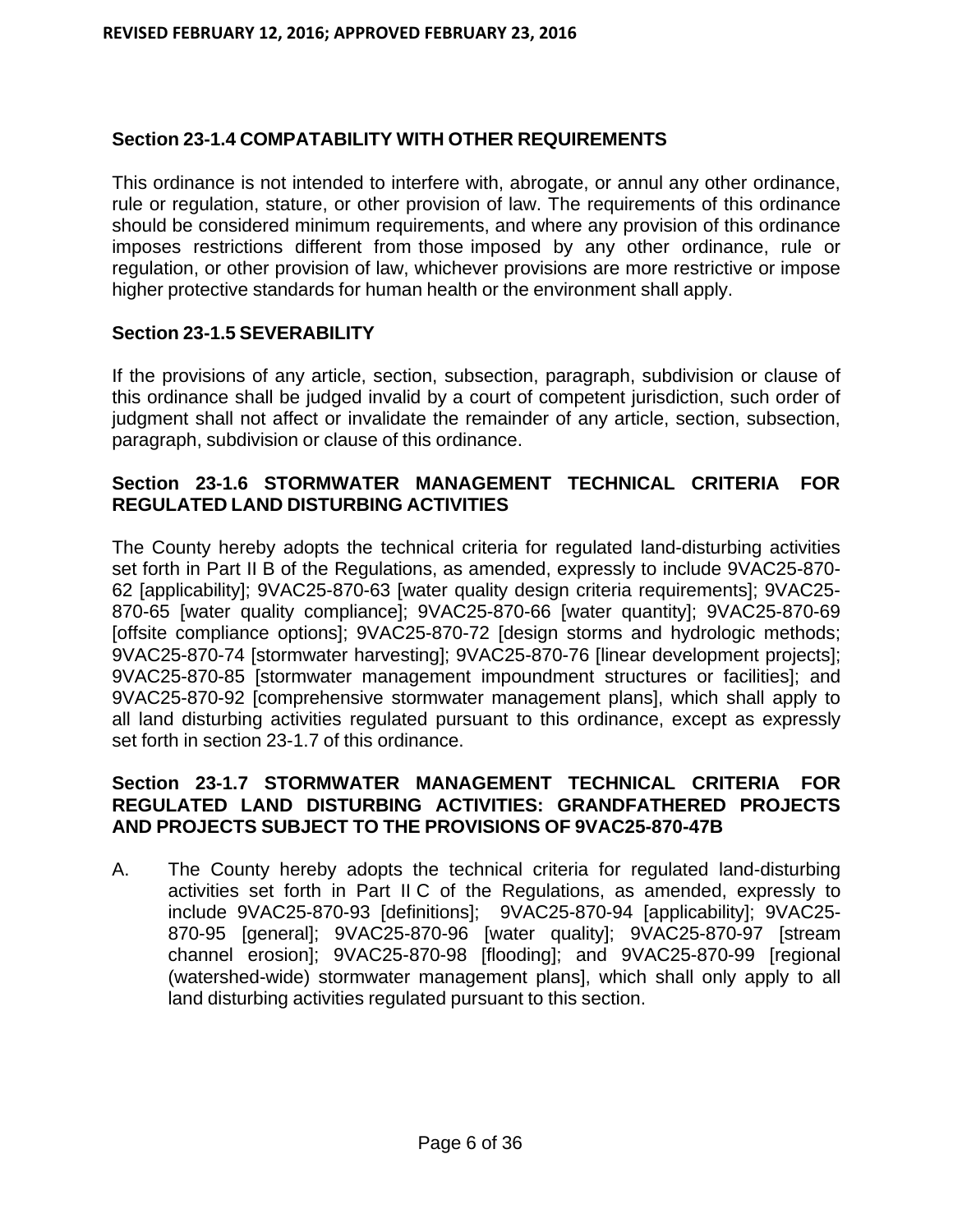## **Section 23-1.4 COMPATABILITY WITH OTHER REQUIREMENTS**

This ordinance is not intended to interfere with, abrogate, or annul any other ordinance, rule or regulation, stature, or other provision of law. The requirements of this ordinance should be considered minimum requirements, and where any provision of this ordinance imposes restrictions different from those imposed by any other ordinance, rule or regulation, or other provision of law, whichever provisions are more restrictive or impose higher protective standards for human health or the environment shall apply.

## **Section 23-1.5 SEVERABILITY**

If the provisions of any article, section, subsection, paragraph, subdivision or clause of this ordinance shall be judged invalid by a court of competent jurisdiction, such order of judgment shall not affect or invalidate the remainder of any article, section, subsection, paragraph, subdivision or clause of this ordinance.

## **Section 23-1.6 STORMWATER MANAGEMENT TECHNICAL CRITERIA FOR REGULATED LAND DISTURBING ACTIVITIES**

The County hereby adopts the technical criteria for regulated land-disturbing activities set forth in Part II B of the Regulations, as amended, expressly to include 9VAC25-870- 62 [applicability]; 9VAC25-870-63 [water quality design criteria requirements]; 9VAC25- 870-65 [water quality compliance]; 9VAC25-870-66 [water quantity]; 9VAC25-870-69 [offsite compliance options]; 9VAC25-870-72 [design storms and hydrologic methods; 9VAC25-870-74 [stormwater harvesting]; 9VAC25-870-76 [linear development projects]; 9VAC25-870-85 [stormwater management impoundment structures or facilities]; and 9VAC25-870-92 [comprehensive stormwater management plans], which shall apply to all land disturbing activities regulated pursuant to this ordinance, except as expressly set forth in section 23-1.7 of this ordinance.

## **Section 23-1.7 STORMWATER MANAGEMENT TECHNICAL CRITERIA FOR REGULATED LAND DISTURBING ACTIVITIES: GRANDFATHERED PROJECTS AND PROJECTS SUBJECT TO THE PROVISIONS OF 9VAC25-870-47B**

A. The County hereby adopts the technical criteria for regulated land-disturbing activities set forth in Part II C of the Regulations, as amended, expressly to include 9VAC25-870-93 [definitions]; 9VAC25-870-94 [applicability]; 9VAC25- 870-95 [general]; 9VAC25-870-96 [water quality]; 9VAC25-870-97 [stream channel erosion]; 9VAC25-870-98 [flooding]; and 9VAC25-870-99 [regional (watershed-wide) stormwater management plans], which shall only apply to all land disturbing activities regulated pursuant to this section.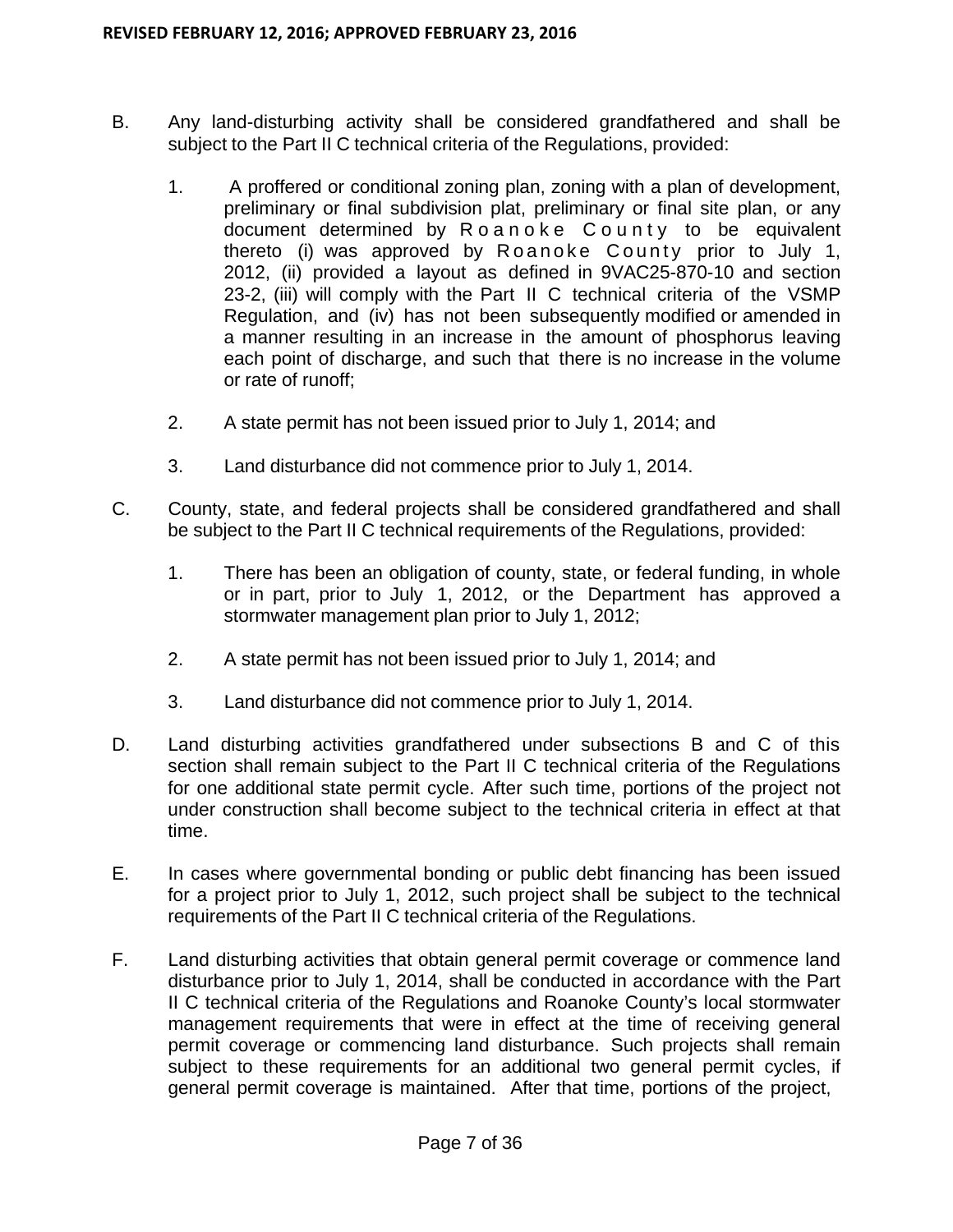- B. Any land-disturbing activity shall be considered grandfathered and shall be subject to the Part II C technical criteria of the Regulations, provided:
	- 1. A proffered or conditional zoning plan, zoning with a plan of development, preliminary or final subdivision plat, preliminary or final site plan, or any document determined by Roanoke County to be equivalent thereto (i) was approved by Roanoke County prior to July 1, 2012, (ii) provided a layout as defined in 9VAC25-870-10 and section 23-2, (iii) will comply with the Part II C technical criteria of the VSMP Regulation, and (iv) has not been subsequently modified or amended in a manner resulting in an increase in the amount of phosphorus leaving each point of discharge, and such that there is no increase in the volume or rate of runoff;
	- 2. A state permit has not been issued prior to July 1, 2014; and
	- 3. Land disturbance did not commence prior to July 1, 2014.
- C. County, state, and federal projects shall be considered grandfathered and shall be subject to the Part II C technical requirements of the Regulations, provided:
	- 1. There has been an obligation of county, state, or federal funding, in whole or in part, prior to July 1, 2012, or the Department has approved a stormwater management plan prior to July 1, 2012;
	- 2. A state permit has not been issued prior to July 1, 2014; and
	- 3. Land disturbance did not commence prior to July 1, 2014.
- D. Land disturbing activities grandfathered under subsections B and C of this section shall remain subject to the Part II C technical criteria of the Regulations for one additional state permit cycle. After such time, portions of the project not under construction shall become subject to the technical criteria in effect at that time.
- E. In cases where governmental bonding or public debt financing has been issued for a project prior to July 1, 2012, such project shall be subject to the technical requirements of the Part II C technical criteria of the Regulations.
- F. Land disturbing activities that obtain general permit coverage or commence land disturbance prior to July 1, 2014, shall be conducted in accordance with the Part II C technical criteria of the Regulations and Roanoke County's local stormwater management requirements that were in effect at the time of receiving general permit coverage or commencing land disturbance. Such projects shall remain subject to these requirements for an additional two general permit cycles, if general permit coverage is maintained. After that time, portions of the project,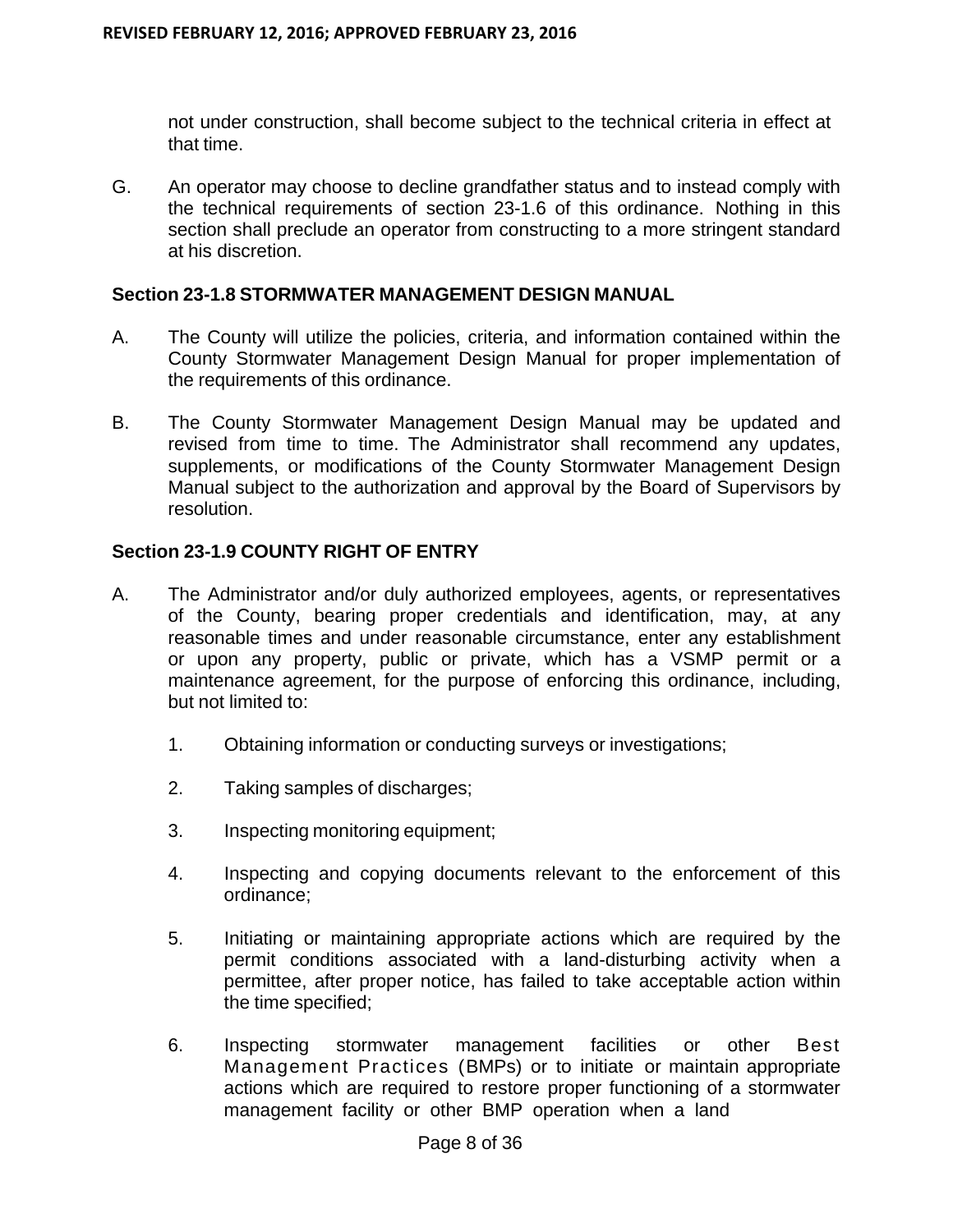not under construction, shall become subject to the technical criteria in effect at that time.

G. An operator may choose to decline grandfather status and to instead comply with the technical requirements of section 23-1.6 of this ordinance. Nothing in this section shall preclude an operator from constructing to a more stringent standard at his discretion.

#### **Section 23-1.8 STORMWATER MANAGEMENT DESIGN MANUAL**

- A. The County will utilize the policies, criteria, and information contained within the County Stormwater Management Design Manual for proper implementation of the requirements of this ordinance.
- B. The County Stormwater Management Design Manual may be updated and revised from time to time. The Administrator shall recommend any updates, supplements, or modifications of the County Stormwater Management Design Manual subject to the authorization and approval by the Board of Supervisors by resolution.

## **Section 23-1.9 COUNTY RIGHT OF ENTRY**

- A. The Administrator and/or duly authorized employees, agents, or representatives of the County, bearing proper credentials and identification, may, at any reasonable times and under reasonable circumstance, enter any establishment or upon any property, public or private, which has a VSMP permit or a maintenance agreement, for the purpose of enforcing this ordinance, including, but not limited to:
	- 1. Obtaining information or conducting surveys or investigations;
	- 2. Taking samples of discharges;
	- 3. Inspecting monitoring equipment;
	- 4. Inspecting and copying documents relevant to the enforcement of this ordinance;
	- 5. Initiating or maintaining appropriate actions which are required by the permit conditions associated with a land-disturbing activity when a permittee, after proper notice, has failed to take acceptable action within the time specified;
	- 6. Inspecting stormwater management facilities or other Best Management Practices (BMPs) or to initiate or maintain appropriate actions which are required to restore proper functioning of a stormwater management facility or other BMP operation when a land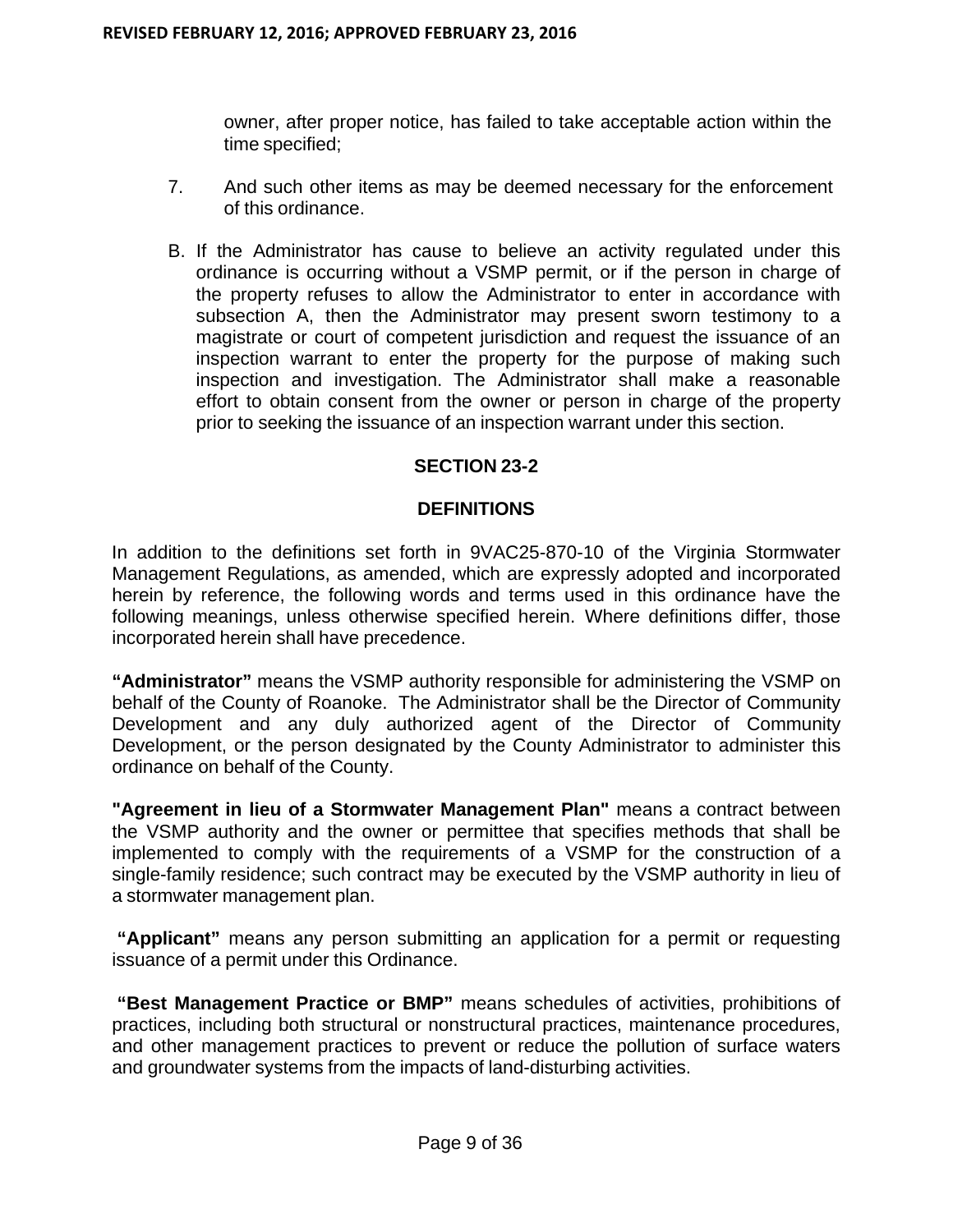owner, after proper notice, has failed to take acceptable action within the time specified;

- 7. And such other items as may be deemed necessary for the enforcement of this ordinance.
- B. If the Administrator has cause to believe an activity regulated under this ordinance is occurring without a VSMP permit, or if the person in charge of the property refuses to allow the Administrator to enter in accordance with subsection A, then the Administrator may present sworn testimony to a magistrate or court of competent jurisdiction and request the issuance of an inspection warrant to enter the property for the purpose of making such inspection and investigation. The Administrator shall make a reasonable effort to obtain consent from the owner or person in charge of the property prior to seeking the issuance of an inspection warrant under this section.

## **SECTION 23-2**

## **DEFINITIONS**

In addition to the definitions set forth in 9VAC25-870-10 of the Virginia Stormwater Management Regulations, as amended, which are expressly adopted and incorporated herein by reference, the following words and terms used in this ordinance have the following meanings, unless otherwise specified herein. Where definitions differ, those incorporated herein shall have precedence.

**"Administrator"** means the VSMP authority responsible for administering the VSMP on behalf of the County of Roanoke. The Administrator shall be the Director of Community Development and any duly authorized agent of the Director of Community Development, or the person designated by the County Administrator to administer this ordinance on behalf of the County.

**"Agreement in lieu of a Stormwater Management Plan"** means a contract between the VSMP authority and the owner or permittee that specifies methods that shall be implemented to comply with the requirements of a VSMP for the construction of a single-family residence; such contract may be executed by the VSMP authority in lieu of a stormwater management plan.

**"Applicant"** means any person submitting an application for a permit or requesting issuance of a permit under this Ordinance.

**"Best Management Practice or BMP"** means schedules of activities, prohibitions of practices, including both structural or nonstructural practices, maintenance procedures, and other management practices to prevent or reduce the pollution of surface waters and groundwater systems from the impacts of land-disturbing activities.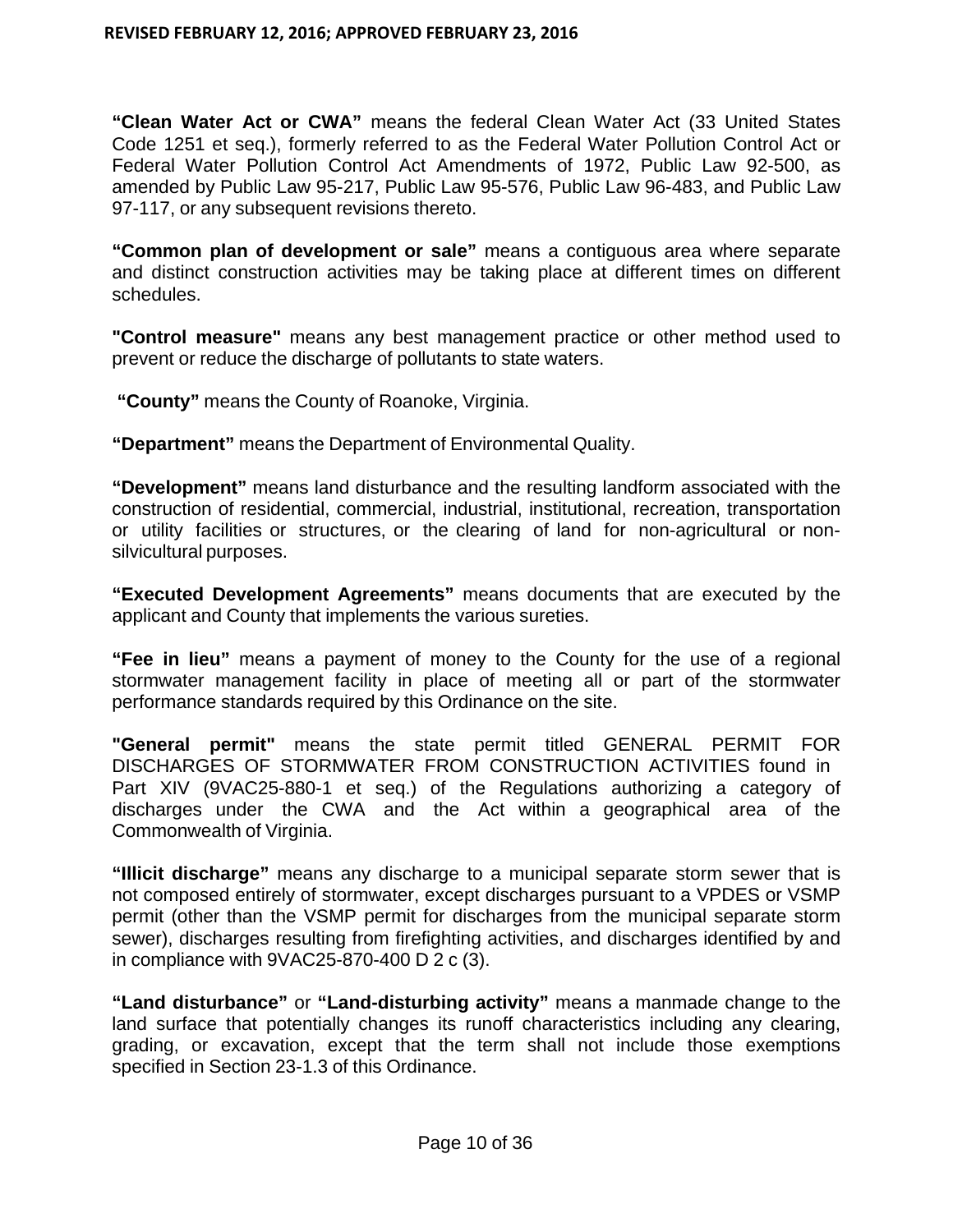**"Clean Water Act or CWA"** means the federal Clean Water Act (33 United States Code 1251 et seq.), formerly referred to as the Federal Water Pollution Control Act or Federal Water Pollution Control Act Amendments of 1972, Public Law 92-500, as amended by Public Law 95-217, Public Law 95-576, Public Law 96-483, and Public Law 97-117, or any subsequent revisions thereto.

**"Common plan of development or sale"** means a contiguous area where separate and distinct construction activities may be taking place at different times on different schedules.

**"Control measure"** means any best management practice or other method used to prevent or reduce the discharge of pollutants to state waters.

**"County"** means the County of Roanoke, Virginia.

**"Department"** means the Department of Environmental Quality.

**"Development"** means land disturbance and the resulting landform associated with the construction of residential, commercial, industrial, institutional, recreation, transportation or utility facilities or structures, or the clearing of land for non-agricultural or nonsilvicultural purposes.

**"Executed Development Agreements"** means documents that are executed by the applicant and County that implements the various sureties.

**"Fee in lieu"** means a payment of money to the County for the use of a regional stormwater management facility in place of meeting all or part of the stormwater performance standards required by this Ordinance on the site.

**"General permit"** means the state permit titled GENERAL PERMIT FOR DISCHARGES OF STORMWATER FROM CONSTRUCTION ACTIVITIES found in Part XIV (9VAC25-880-1 et seq.) of the Regulations authorizing a category of discharges under the CWA and the Act within a geographical area of the Commonwealth of Virginia.

**"Illicit discharge"** means any discharge to a municipal separate storm sewer that is not composed entirely of stormwater, except discharges pursuant to a VPDES or VSMP permit (other than the VSMP permit for discharges from the municipal separate storm sewer), discharges resulting from firefighting activities, and discharges identified by and in compliance with 9VAC25-870-400 D 2 c (3).

**"Land disturbance"** or **"Land-disturbing activity"** means a manmade change to the land surface that potentially changes its runoff characteristics including any clearing, grading, or excavation, except that the term shall not include those exemptions specified in Section 23-1.3 of this Ordinance.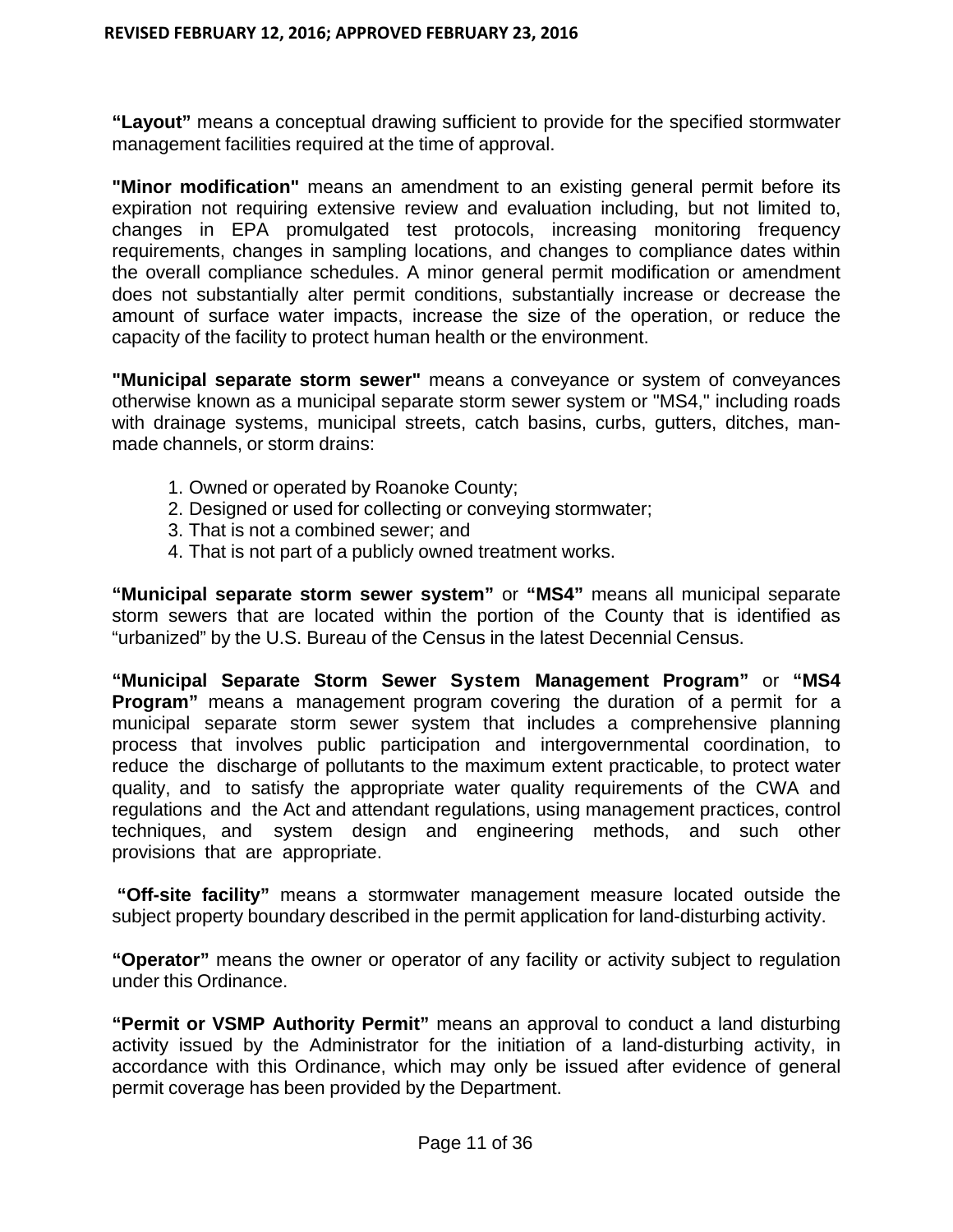**"Layout"** means a conceptual drawing sufficient to provide for the specified stormwater management facilities required at the time of approval.

**"Minor modification"** means an amendment to an existing general permit before its expiration not requiring extensive review and evaluation including, but not limited to, changes in EPA promulgated test protocols, increasing monitoring frequency requirements, changes in sampling locations, and changes to compliance dates within the overall compliance schedules. A minor general permit modification or amendment does not substantially alter permit conditions, substantially increase or decrease the amount of surface water impacts, increase the size of the operation, or reduce the capacity of the facility to protect human health or the environment.

**"Municipal separate storm sewer"** means a conveyance or system of conveyances otherwise known as a municipal separate storm sewer system or "MS4," including roads with drainage systems, municipal streets, catch basins, curbs, gutters, ditches, manmade channels, or storm drains:

- 1. Owned or operated by Roanoke County;
- 2. Designed or used for collecting or conveying stormwater;
- 3. That is not a combined sewer; and
- 4. That is not part of a publicly owned treatment works.

**"Municipal separate storm sewer system"** or **"MS4"** means all municipal separate storm sewers that are located within the portion of the County that is identified as "urbanized" by the U.S. Bureau of the Census in the latest Decennial Census.

**"Municipal Separate Storm Sewer System Management Program"** or **"MS4 Program"** means a management program covering the duration of a permit for a municipal separate storm sewer system that includes a comprehensive planning process that involves public participation and intergovernmental coordination, to reduce the discharge of pollutants to the maximum extent practicable, to protect water quality, and to satisfy the appropriate water quality requirements of the CWA and regulations and the Act and attendant regulations, using management practices, control techniques, and system design and engineering methods, and such other provisions that are appropriate.

**"Off-site facility"** means a stormwater management measure located outside the subject property boundary described in the permit application for land-disturbing activity.

**"Operator"** means the owner or operator of any facility or activity subject to regulation under this Ordinance.

**"Permit or VSMP Authority Permit"** means an approval to conduct a land disturbing activity issued by the Administrator for the initiation of a land-disturbing activity, in accordance with this Ordinance, which may only be issued after evidence of general permit coverage has been provided by the Department.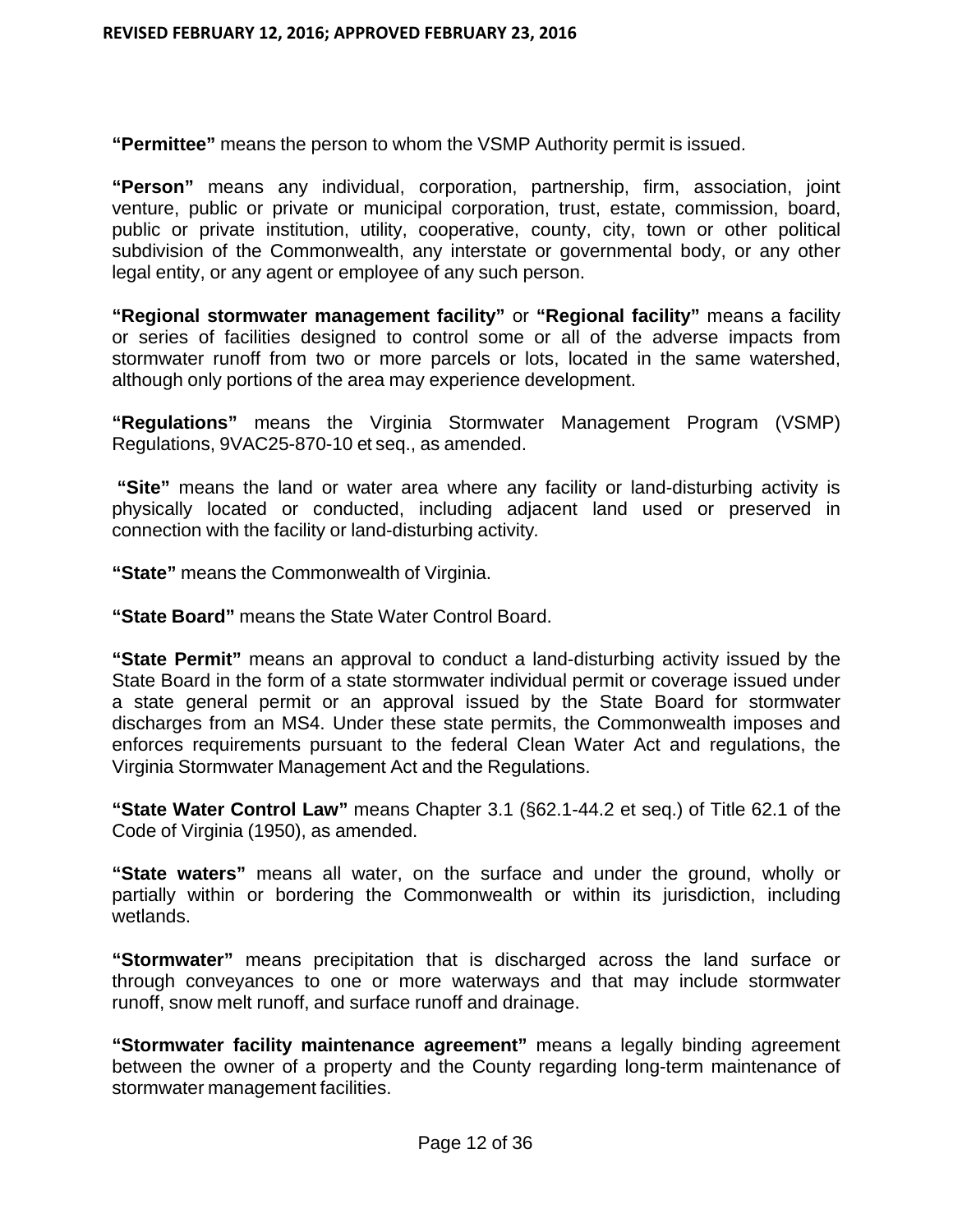**"Permittee"** means the person to whom the VSMP Authority permit is issued.

**"Person"** means any individual, corporation, partnership, firm, association, joint venture, public or private or municipal corporation, trust, estate, commission, board, public or private institution, utility, cooperative, county, city, town or other political subdivision of the Commonwealth, any interstate or governmental body, or any other legal entity, or any agent or employee of any such person.

**"Regional stormwater management facility"** or **"Regional facility"** means a facility or series of facilities designed to control some or all of the adverse impacts from stormwater runoff from two or more parcels or lots, located in the same watershed, although only portions of the area may experience development.

**"Regulations"** means the Virginia Stormwater Management Program (VSMP) Regulations, 9VAC25-870-10 et seq., as amended.

**"Site"** means the land or water area where any facility or land-disturbing activity is physically located or conducted, including adjacent land used or preserved in connection with the facility or land-disturbing activity*.*

**"State"** means the Commonwealth of Virginia.

**"State Board"** means the State Water Control Board.

**"State Permit"** means an approval to conduct a land-disturbing activity issued by the State Board in the form of a state stormwater individual permit or coverage issued under a state general permit or an approval issued by the State Board for stormwater discharges from an MS4. Under these state permits, the Commonwealth imposes and enforces requirements pursuant to the federal Clean Water Act and regulations, the Virginia Stormwater Management Act and the Regulations.

**"State Water Control Law"** means Chapter 3.1 (§62.1-44.2 et seq.) of Title 62.1 of the Code of Virginia (1950), as amended.

**"State waters"** means all water, on the surface and under the ground, wholly or partially within or bordering the Commonwealth or within its jurisdiction, including wetlands.

**"Stormwater"** means precipitation that is discharged across the land surface or through conveyances to one or more waterways and that may include stormwater runoff, snow melt runoff, and surface runoff and drainage.

**"Stormwater facility maintenance agreement"** means a legally binding agreement between the owner of a property and the County regarding long-term maintenance of stormwater management facilities.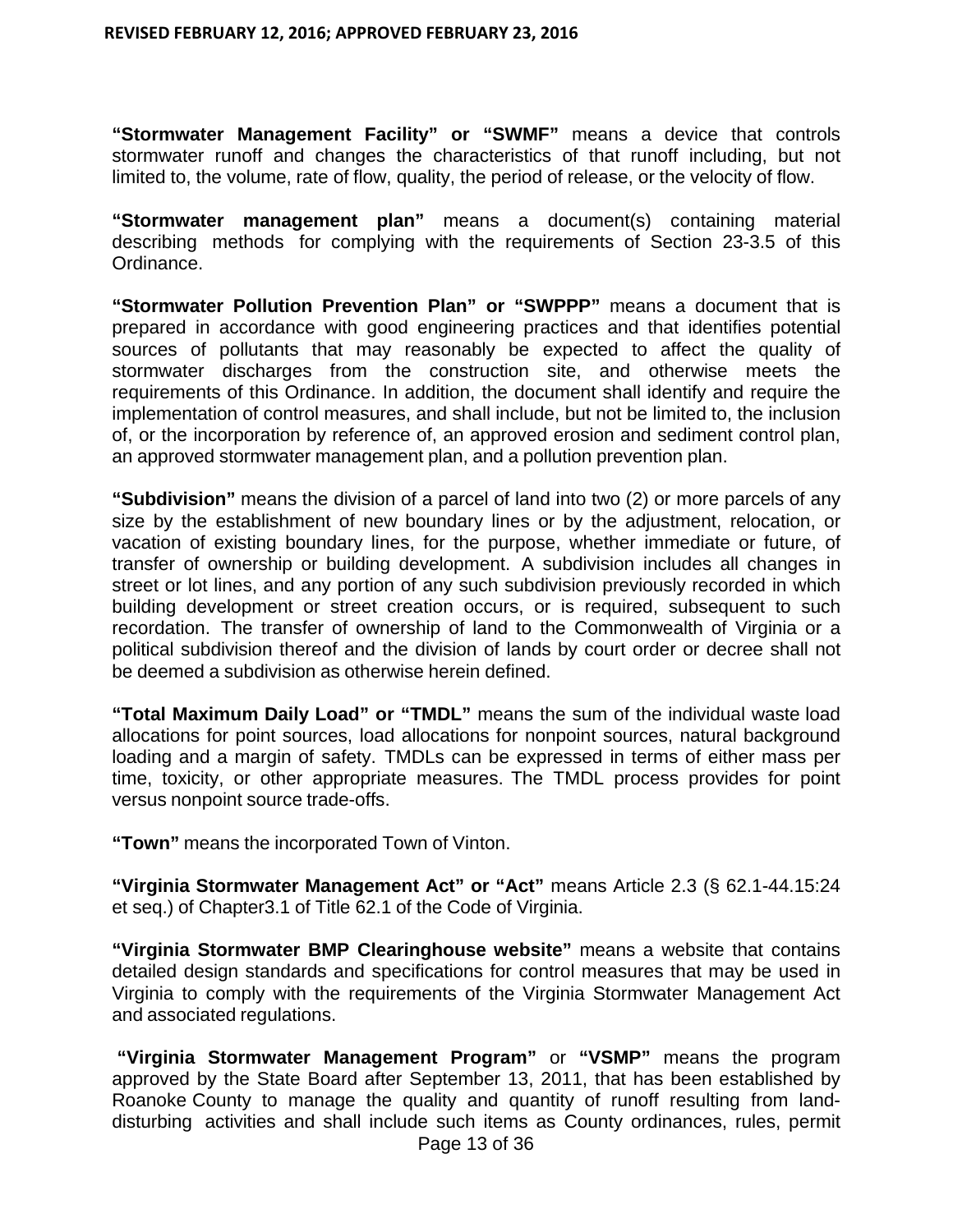**"Stormwater Management Facility" or "SWMF"** means a device that controls stormwater runoff and changes the characteristics of that runoff including, but not limited to, the volume, rate of flow, quality, the period of release, or the velocity of flow.

**"Stormwater management plan"** means a document(s) containing material describing methods for complying with the requirements of Section 23-3.5 of this Ordinance.

**"Stormwater Pollution Prevention Plan" or "SWPPP"** means a document that is prepared in accordance with good engineering practices and that identifies potential sources of pollutants that may reasonably be expected to affect the quality of stormwater discharges from the construction site, and otherwise meets the requirements of this Ordinance. In addition, the document shall identify and require the implementation of control measures, and shall include, but not be limited to, the inclusion of, or the incorporation by reference of, an approved erosion and sediment control plan, an approved stormwater management plan, and a pollution prevention plan.

**"Subdivision"** means the division of a parcel of land into two (2) or more parcels of any size by the establishment of new boundary lines or by the adjustment, relocation, or vacation of existing boundary lines, for the purpose, whether immediate or future, of transfer of ownership or building development. A subdivision includes all changes in street or lot lines, and any portion of any such subdivision previously recorded in which building development or street creation occurs, or is required, subsequent to such recordation. The transfer of ownership of land to the Commonwealth of Virginia or a political subdivision thereof and the division of lands by court order or decree shall not be deemed a subdivision as otherwise herein defined.

**"Total Maximum Daily Load" or "TMDL"** means the sum of the individual waste load allocations for point sources, load allocations for nonpoint sources, natural background loading and a margin of safety. TMDLs can be expressed in terms of either mass per time, toxicity, or other appropriate measures. The TMDL process provides for point versus nonpoint source trade-offs.

**"Town"** means the incorporated Town of Vinton.

**"Virginia Stormwater Management Act" or "Act"** means Article 2.3 (§ 62.1-44.15:24 et seq.) of Chapter3.1 of Title 62.1 of the Code of Virginia.

**"Virginia Stormwater BMP Clearinghouse website"** means a website that contains detailed design standards and specifications for control measures that may be used in Virginia to comply with the requirements of the Virginia Stormwater Management Act and associated regulations.

Page 13 of 36 **"Virginia Stormwater Management Program"** or **"VSMP"** means the program approved by the State Board after September 13, 2011, that has been established by Roanoke County to manage the quality and quantity of runoff resulting from landdisturbing activities and shall include such items as County ordinances, rules, permit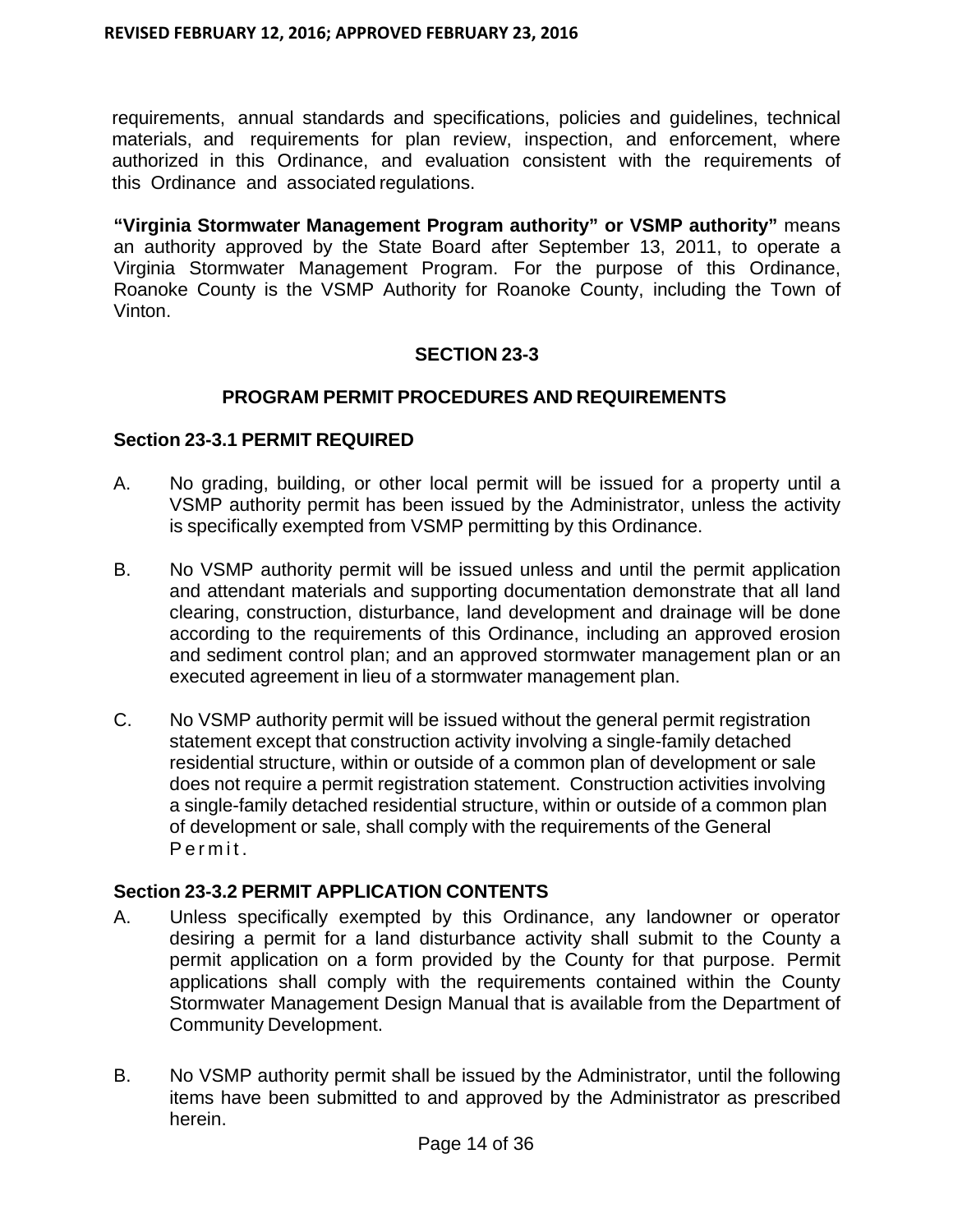requirements, annual standards and specifications, policies and guidelines, technical materials, and requirements for plan review, inspection, and enforcement, where authorized in this Ordinance, and evaluation consistent with the requirements of this Ordinance and associated regulations.

**"Virginia Stormwater Management Program authority" or VSMP authority"** means an authority approved by the State Board after September 13, 2011, to operate a Virginia Stormwater Management Program. For the purpose of this Ordinance, Roanoke County is the VSMP Authority for Roanoke County, including the Town of Vinton.

## **SECTION 23-3**

#### **PROGRAM PERMIT PROCEDURES AND REQUIREMENTS**

#### **Section 23-3.1 PERMIT REQUIRED**

- A. No grading, building, or other local permit will be issued for a property until a VSMP authority permit has been issued by the Administrator, unless the activity is specifically exempted from VSMP permitting by this Ordinance.
- B. No VSMP authority permit will be issued unless and until the permit application and attendant materials and supporting documentation demonstrate that all land clearing, construction, disturbance, land development and drainage will be done according to the requirements of this Ordinance, including an approved erosion and sediment control plan; and an approved stormwater management plan or an executed agreement in lieu of a stormwater management plan.
- C. No VSMP authority permit will be issued without the general permit registration statement except that construction activity involving a single-family detached residential structure, within or outside of a common plan of development or sale does not require a permit registration statement. Construction activities involving a single-family detached residential structure, within or outside of a common plan of development or sale, shall comply with the requirements of the General Permit.

## **Section 23-3.2 PERMIT APPLICATION CONTENTS**

- A. Unless specifically exempted by this Ordinance, any landowner or operator desiring a permit for a land disturbance activity shall submit to the County a permit application on a form provided by the County for that purpose. Permit applications shall comply with the requirements contained within the County Stormwater Management Design Manual that is available from the Department of Community Development.
- B. No VSMP authority permit shall be issued by the Administrator, until the following items have been submitted to and approved by the Administrator as prescribed herein.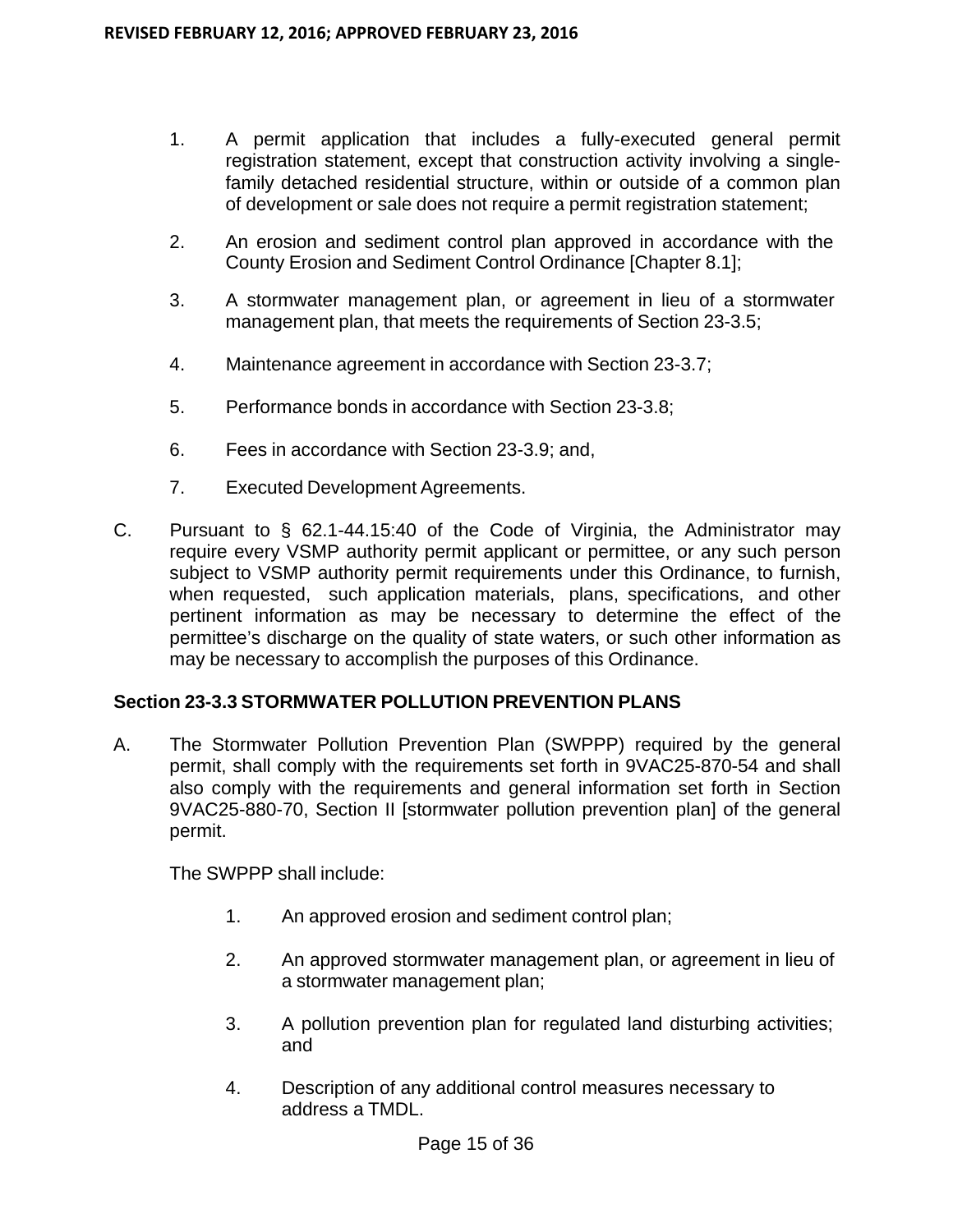- 1. A permit application that includes a fully-executed general permit registration statement, except that construction activity involving a singlefamily detached residential structure, within or outside of a common plan of development or sale does not require a permit registration statement;
- 2. An erosion and sediment control plan approved in accordance with the County Erosion and Sediment Control Ordinance [Chapter 8.1];
- 3. A stormwater management plan, or agreement in lieu of a stormwater management plan, that meets the requirements of Section 23-3.5;
- 4. Maintenance agreement in accordance with Section 23-3.7;
- 5. Performance bonds in accordance with Section 23-3.8;
- 6. Fees in accordance with Section 23-3.9; and,
- 7. Executed Development Agreements.
- C. Pursuant to § 62.1-44.15:40 of the Code of Virginia, the Administrator may require every VSMP authority permit applicant or permittee, or any such person subject to VSMP authority permit requirements under this Ordinance, to furnish, when requested, such application materials, plans, specifications, and other pertinent information as may be necessary to determine the effect of the permittee's discharge on the quality of state waters, or such other information as may be necessary to accomplish the purposes of this Ordinance.

## **Section 23-3.3 STORMWATER POLLUTION PREVENTION PLANS**

A. The Stormwater Pollution Prevention Plan (SWPPP) required by the general permit, shall comply with the requirements set forth in 9VAC25-870-54 and shall also comply with the requirements and general information set forth in Section 9VAC25-880-70, Section II [stormwater pollution prevention plan] of the general permit.

The SWPPP shall include:

- 1. An approved erosion and sediment control plan;
- 2. An approved stormwater management plan, or agreement in lieu of a stormwater management plan;
- 3. A pollution prevention plan for regulated land disturbing activities; and
- 4. Description of any additional control measures necessary to address a TMDL.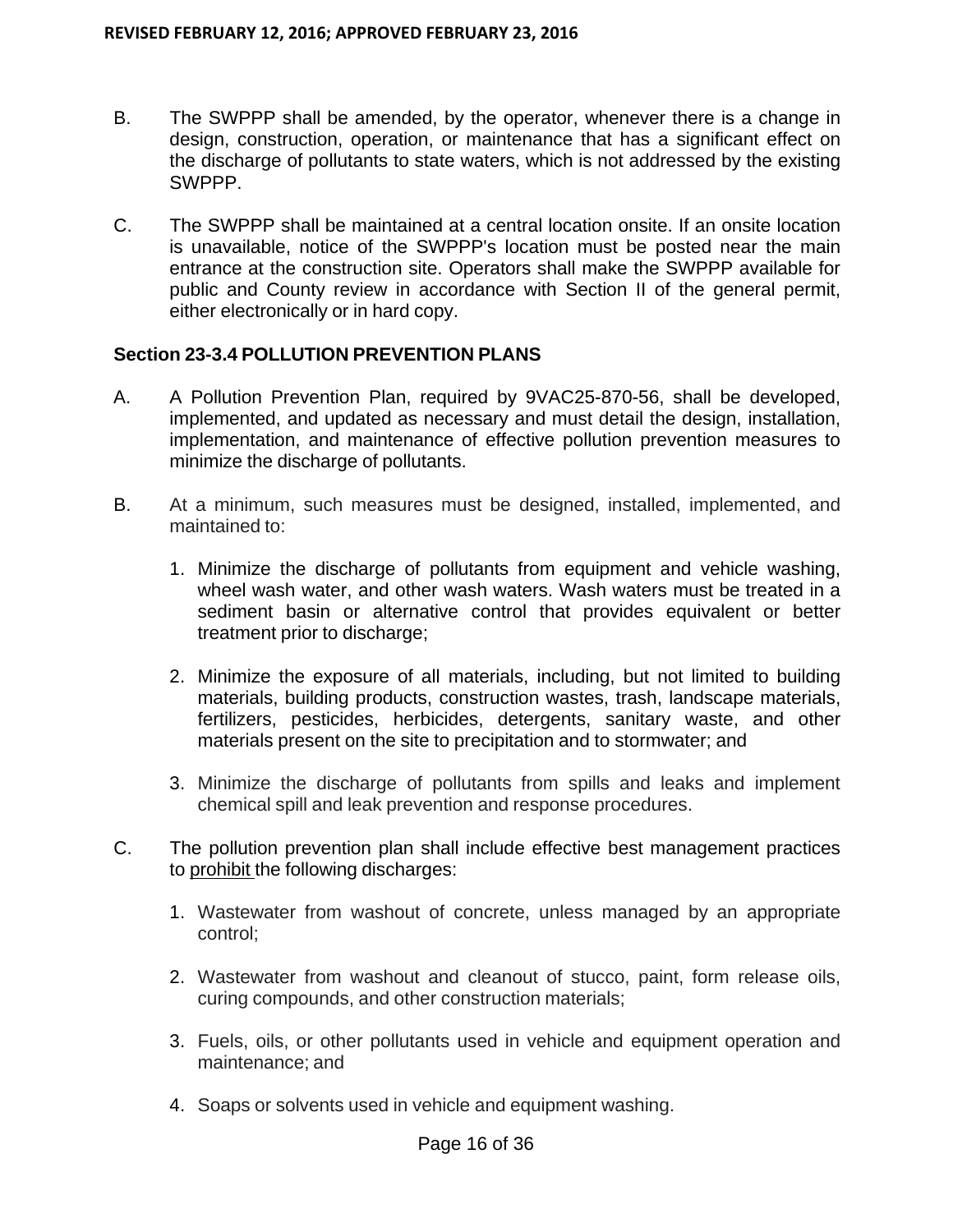- B. The SWPPP shall be amended, by the operator, whenever there is a change in design, construction, operation, or maintenance that has a significant effect on the discharge of pollutants to state waters, which is not addressed by the existing SWPPP.
- C. The SWPPP shall be maintained at a central location onsite. If an onsite location is unavailable, notice of the SWPPP's location must be posted near the main entrance at the construction site. Operators shall make the SWPPP available for public and County review in accordance with Section II of the general permit, either electronically or in hard copy.

## **Section 23-3.4 POLLUTION PREVENTION PLANS**

- A. A Pollution Prevention Plan, required by 9VAC25-870-56, shall be developed, implemented, and updated as necessary and must detail the design, installation, implementation, and maintenance of effective pollution prevention measures to minimize the discharge of pollutants.
- B. At a minimum, such measures must be designed, installed, implemented, and maintained to:
	- 1. Minimize the discharge of pollutants from equipment and vehicle washing, wheel wash water, and other wash waters. Wash waters must be treated in a sediment basin or alternative control that provides equivalent or better treatment prior to discharge;
	- 2. Minimize the exposure of all materials, including, but not limited to building materials, building products, construction wastes, trash, landscape materials, fertilizers, pesticides, herbicides, detergents, sanitary waste, and other materials present on the site to precipitation and to stormwater; and
	- 3. Minimize the discharge of pollutants from spills and leaks and implement chemical spill and leak prevention and response procedures.
- C. The pollution prevention plan shall include effective best management practices to prohibit the following discharges:
	- 1. Wastewater from washout of concrete, unless managed by an appropriate control;
	- 2. Wastewater from washout and cleanout of stucco, paint, form release oils, curing compounds, and other construction materials;
	- 3. Fuels, oils, or other pollutants used in vehicle and equipment operation and maintenance; and
	- 4. Soaps or solvents used in vehicle and equipment washing.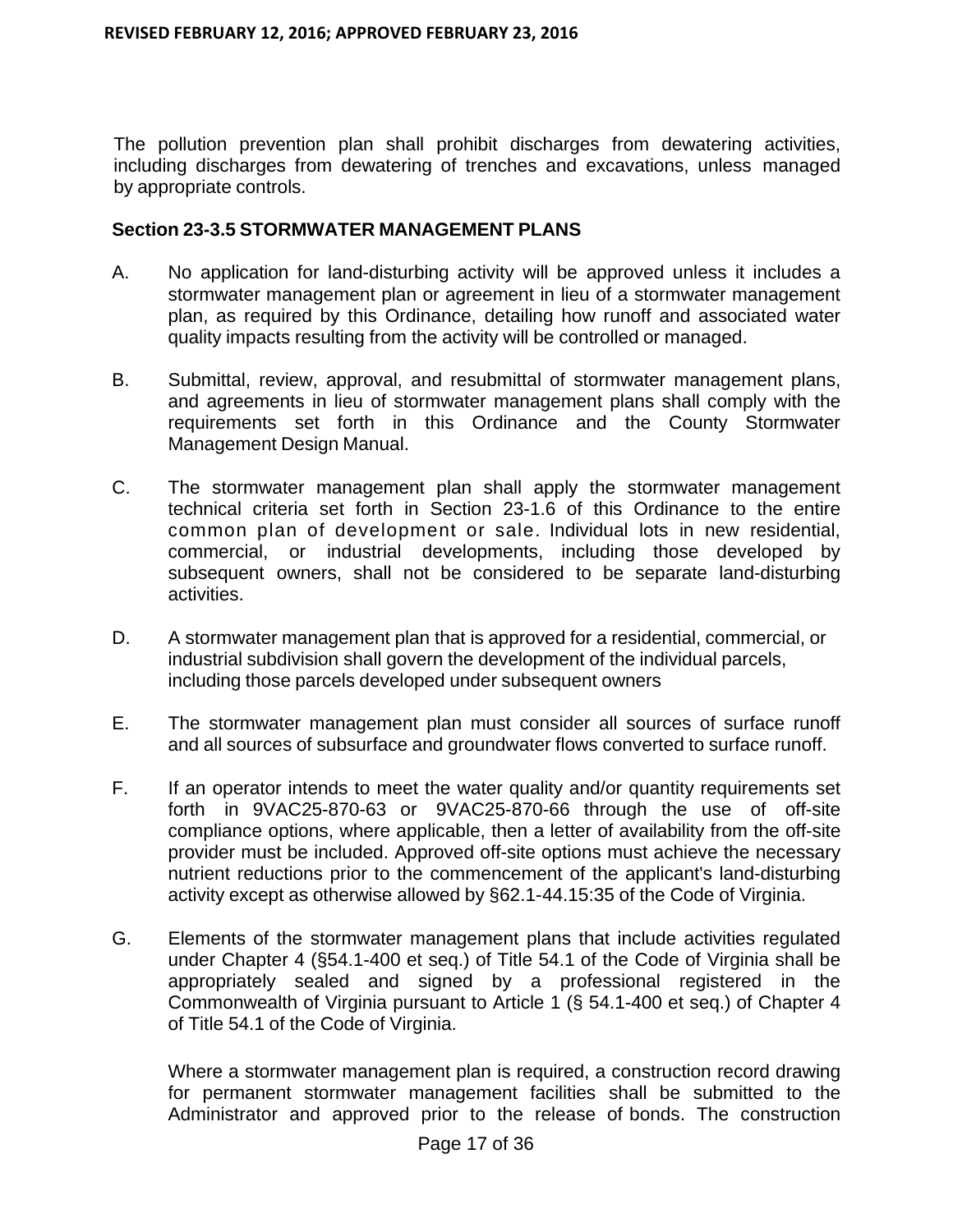The pollution prevention plan shall prohibit discharges from dewatering activities, including discharges from dewatering of trenches and excavations, unless managed by appropriate controls.

#### **Section 23-3.5 STORMWATER MANAGEMENT PLANS**

- A. No application for land-disturbing activity will be approved unless it includes a stormwater management plan or agreement in lieu of a stormwater management plan, as required by this Ordinance, detailing how runoff and associated water quality impacts resulting from the activity will be controlled or managed.
- B. Submittal, review, approval, and resubmittal of stormwater management plans, and agreements in lieu of stormwater management plans shall comply with the requirements set forth in this Ordinance and the County Stormwater Management Design Manual.
- C. The stormwater management plan shall apply the stormwater management technical criteria set forth in Section 23-1.6 of this Ordinance to the entire common plan of development or sale. Individual lots in new residential, commercial, or industrial developments, including those developed by subsequent owners, shall not be considered to be separate land-disturbing activities.
- D. A stormwater management plan that is approved for a residential, commercial, or industrial subdivision shall govern the development of the individual parcels, including those parcels developed under subsequent owners
- E. The stormwater management plan must consider all sources of surface runoff and all sources of subsurface and groundwater flows converted to surface runoff.
- F. If an operator intends to meet the water quality and/or quantity requirements set forth in 9VAC25-870-63 or 9VAC25-870-66 through the use of off-site compliance options, where applicable, then a letter of availability from the off-site provider must be included. Approved off-site options must achieve the necessary nutrient reductions prior to the commencement of the applicant's land-disturbing activity except as otherwise allowed by §62.1-44.15:35 of the Code of Virginia.
- G. Elements of the stormwater management plans that include activities regulated under Chapter 4 (§54.1-400 et seq.) of Title 54.1 of the Code of Virginia shall be appropriately sealed and signed by a professional registered in the Commonwealth of Virginia pursuant to Article 1 (§ 54.1-400 et seq.) of Chapter 4 of Title 54.1 of the Code of Virginia.

Where a stormwater management plan is required, a construction record drawing for permanent stormwater management facilities shall be submitted to the Administrator and approved prior to the release of bonds. The construction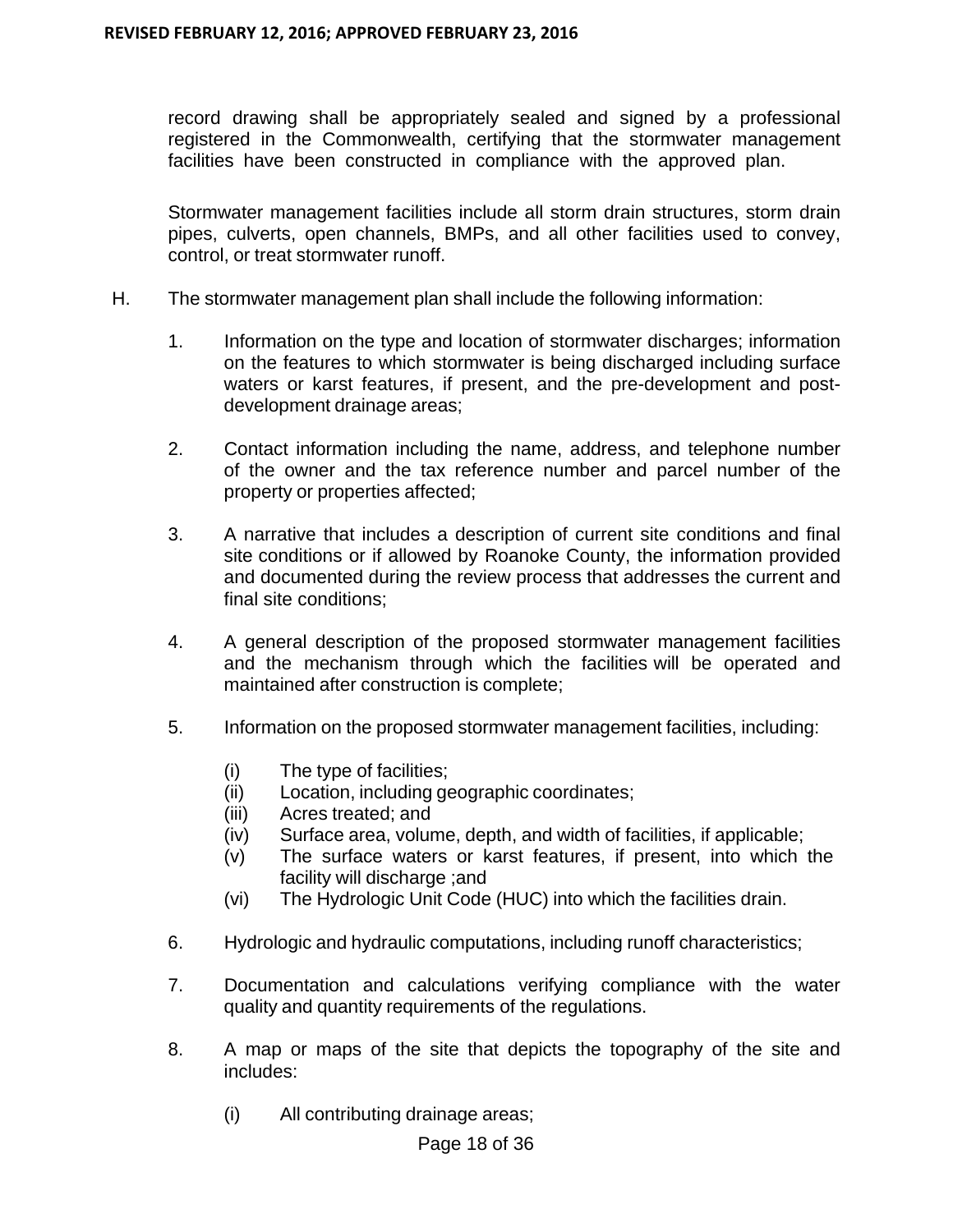record drawing shall be appropriately sealed and signed by a professional registered in the Commonwealth, certifying that the stormwater management facilities have been constructed in compliance with the approved plan.

Stormwater management facilities include all storm drain structures, storm drain pipes, culverts, open channels, BMPs, and all other facilities used to convey, control, or treat stormwater runoff.

- H. The stormwater management plan shall include the following information:
	- 1. Information on the type and location of stormwater discharges; information on the features to which stormwater is being discharged including surface waters or karst features, if present, and the pre-development and postdevelopment drainage areas;
	- 2. Contact information including the name, address, and telephone number of the owner and the tax reference number and parcel number of the property or properties affected;
	- 3. A narrative that includes a description of current site conditions and final site conditions or if allowed by Roanoke County, the information provided and documented during the review process that addresses the current and final site conditions;
	- 4. A general description of the proposed stormwater management facilities and the mechanism through which the facilities will be operated and maintained after construction is complete;
	- 5. Information on the proposed stormwater management facilities, including:
		- (i) The type of facilities;
		- (ii) Location, including geographic coordinates;
		- (iii) Acres treated; and
		- (iv) Surface area, volume, depth, and width of facilities, if applicable;
		- (v) The surface waters or karst features, if present, into which the facility will discharge ;and
		- (vi) The Hydrologic Unit Code (HUC) into which the facilities drain.
	- 6. Hydrologic and hydraulic computations, including runoff characteristics;
	- 7. Documentation and calculations verifying compliance with the water quality and quantity requirements of the regulations.
	- 8. A map or maps of the site that depicts the topography of the site and includes:
		- (i) All contributing drainage areas;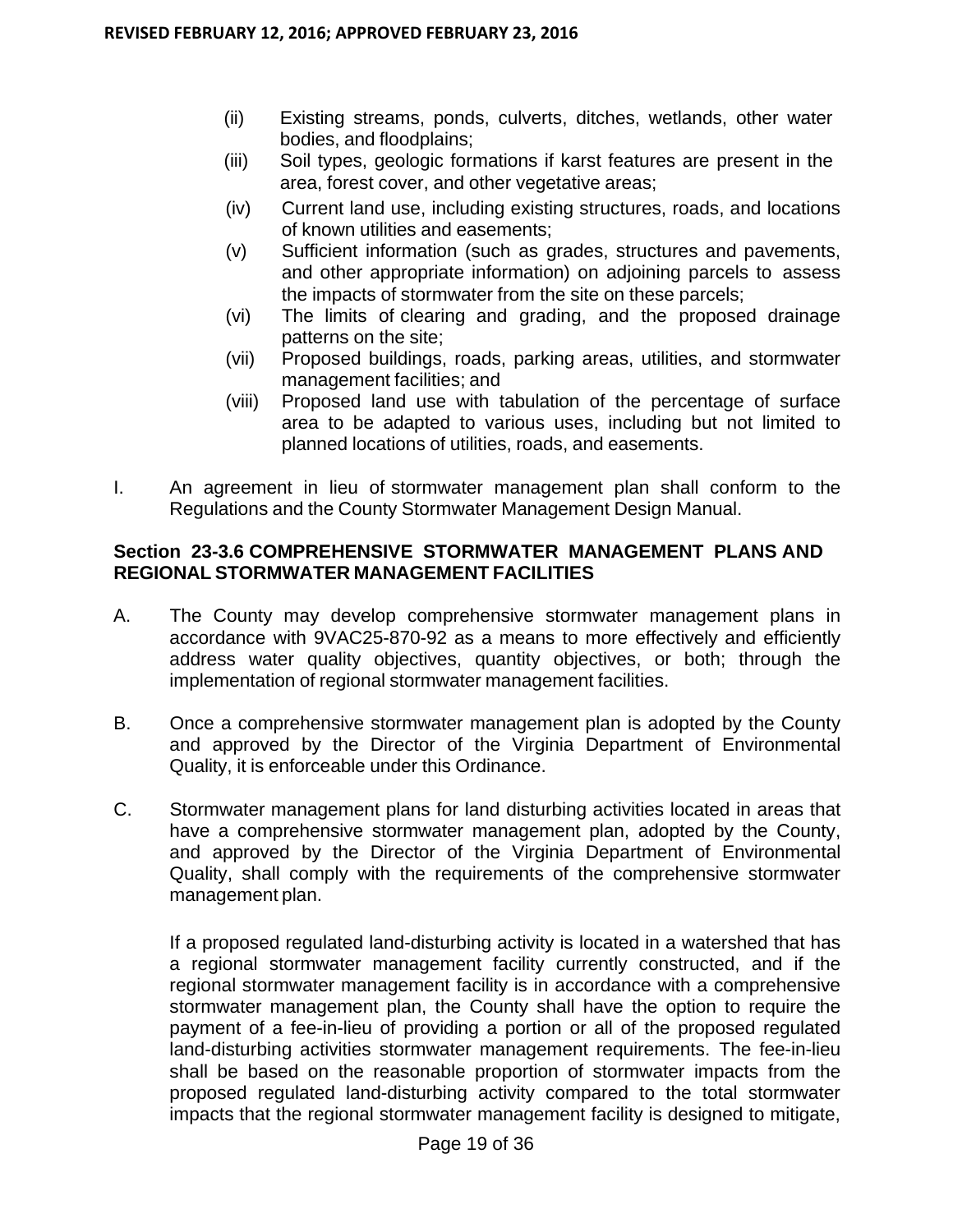- (ii) Existing streams, ponds, culverts, ditches, wetlands, other water bodies, and floodplains;
- (iii) Soil types, geologic formations if karst features are present in the area, forest cover, and other vegetative areas;
- (iv) Current land use, including existing structures, roads, and locations of known utilities and easements;
- (v) Sufficient information (such as grades, structures and pavements, and other appropriate information) on adjoining parcels to assess the impacts of stormwater from the site on these parcels;
- (vi) The limits of clearing and grading, and the proposed drainage patterns on the site;
- (vii) Proposed buildings, roads, parking areas, utilities, and stormwater management facilities; and
- (viii) Proposed land use with tabulation of the percentage of surface area to be adapted to various uses, including but not limited to planned locations of utilities, roads, and easements.
- I. An agreement in lieu of stormwater management plan shall conform to the Regulations and the County Stormwater Management Design Manual.

## **Section 23-3.6 COMPREHENSIVE STORMWATER MANAGEMENT PLANS AND REGIONAL STORMWATER MANAGEMENT FACILITIES**

- A. The County may develop comprehensive stormwater management plans in accordance with 9VAC25-870-92 as a means to more effectively and efficiently address water quality objectives, quantity objectives, or both; through the implementation of regional stormwater management facilities.
- B. Once a comprehensive stormwater management plan is adopted by the County and approved by the Director of the Virginia Department of Environmental Quality, it is enforceable under this Ordinance.
- C. Stormwater management plans for land disturbing activities located in areas that have a comprehensive stormwater management plan, adopted by the County, and approved by the Director of the Virginia Department of Environmental Quality, shall comply with the requirements of the comprehensive stormwater management plan.

If a proposed regulated land-disturbing activity is located in a watershed that has a regional stormwater management facility currently constructed, and if the regional stormwater management facility is in accordance with a comprehensive stormwater management plan, the County shall have the option to require the payment of a fee-in-lieu of providing a portion or all of the proposed regulated land-disturbing activities stormwater management requirements. The fee-in-lieu shall be based on the reasonable proportion of stormwater impacts from the proposed regulated land-disturbing activity compared to the total stormwater impacts that the regional stormwater management facility is designed to mitigate,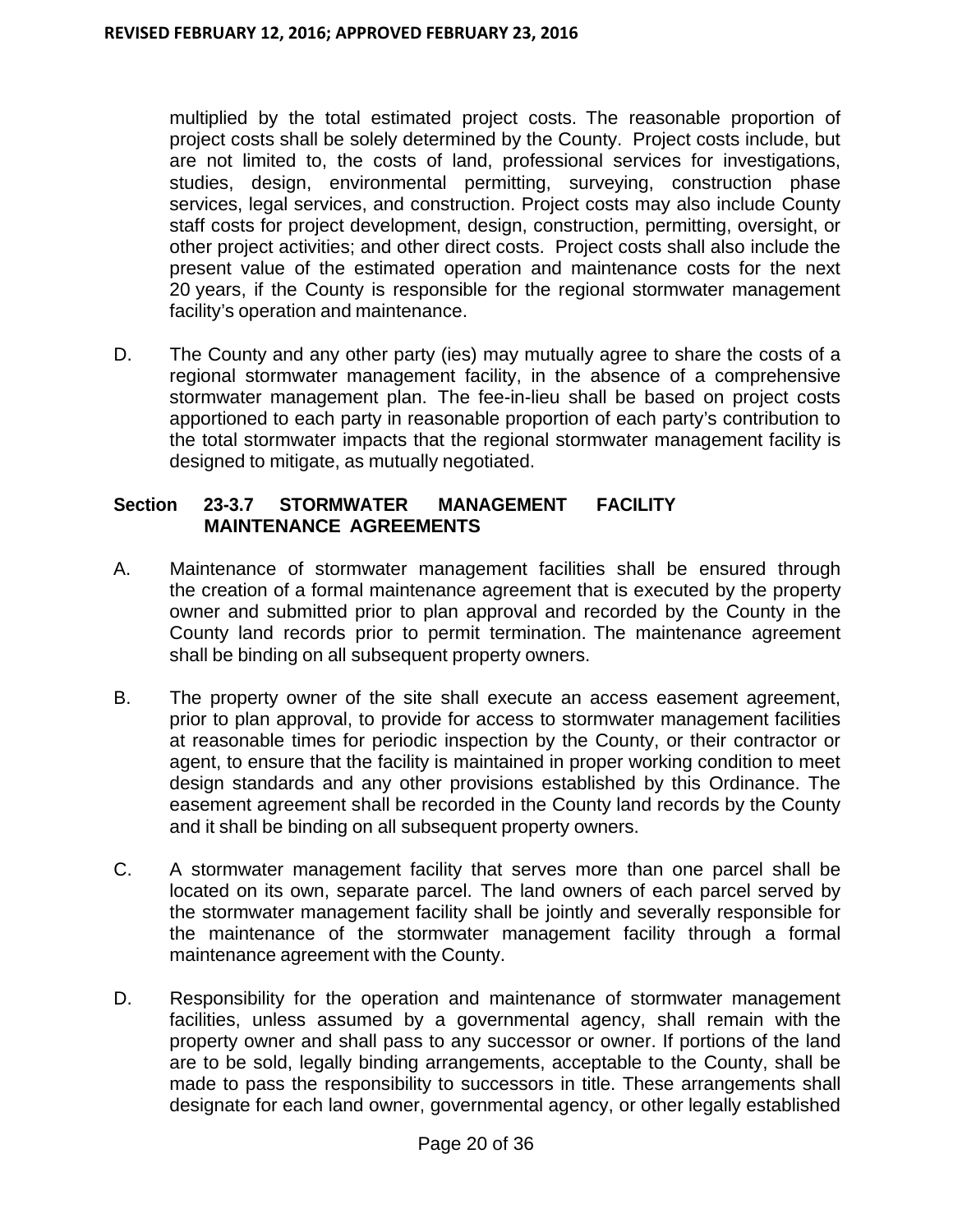multiplied by the total estimated project costs. The reasonable proportion of project costs shall be solely determined by the County. Project costs include, but are not limited to, the costs of land, professional services for investigations, studies, design, environmental permitting, surveying, construction phase services, legal services, and construction. Project costs may also include County staff costs for project development, design, construction, permitting, oversight, or other project activities; and other direct costs. Project costs shall also include the present value of the estimated operation and maintenance costs for the next 20 years, if the County is responsible for the regional stormwater management facility's operation and maintenance.

D. The County and any other party (ies) may mutually agree to share the costs of a regional stormwater management facility, in the absence of a comprehensive stormwater management plan. The fee-in-lieu shall be based on project costs apportioned to each party in reasonable proportion of each party's contribution to the total stormwater impacts that the regional stormwater management facility is designed to mitigate, as mutually negotiated.

## **Section 23-3.7 STORMWATER MANAGEMENT FACILITY MAINTENANCE AGREEMENTS**

- A. Maintenance of stormwater management facilities shall be ensured through the creation of a formal maintenance agreement that is executed by the property owner and submitted prior to plan approval and recorded by the County in the County land records prior to permit termination. The maintenance agreement shall be binding on all subsequent property owners.
- B. The property owner of the site shall execute an access easement agreement, prior to plan approval, to provide for access to stormwater management facilities at reasonable times for periodic inspection by the County, or their contractor or agent, to ensure that the facility is maintained in proper working condition to meet design standards and any other provisions established by this Ordinance. The easement agreement shall be recorded in the County land records by the County and it shall be binding on all subsequent property owners.
- C. A stormwater management facility that serves more than one parcel shall be located on its own, separate parcel. The land owners of each parcel served by the stormwater management facility shall be jointly and severally responsible for the maintenance of the stormwater management facility through a formal maintenance agreement with the County.
- D. Responsibility for the operation and maintenance of stormwater management facilities, unless assumed by a governmental agency, shall remain with the property owner and shall pass to any successor or owner. If portions of the land are to be sold, legally binding arrangements, acceptable to the County, shall be made to pass the responsibility to successors in title. These arrangements shall designate for each land owner, governmental agency, or other legally established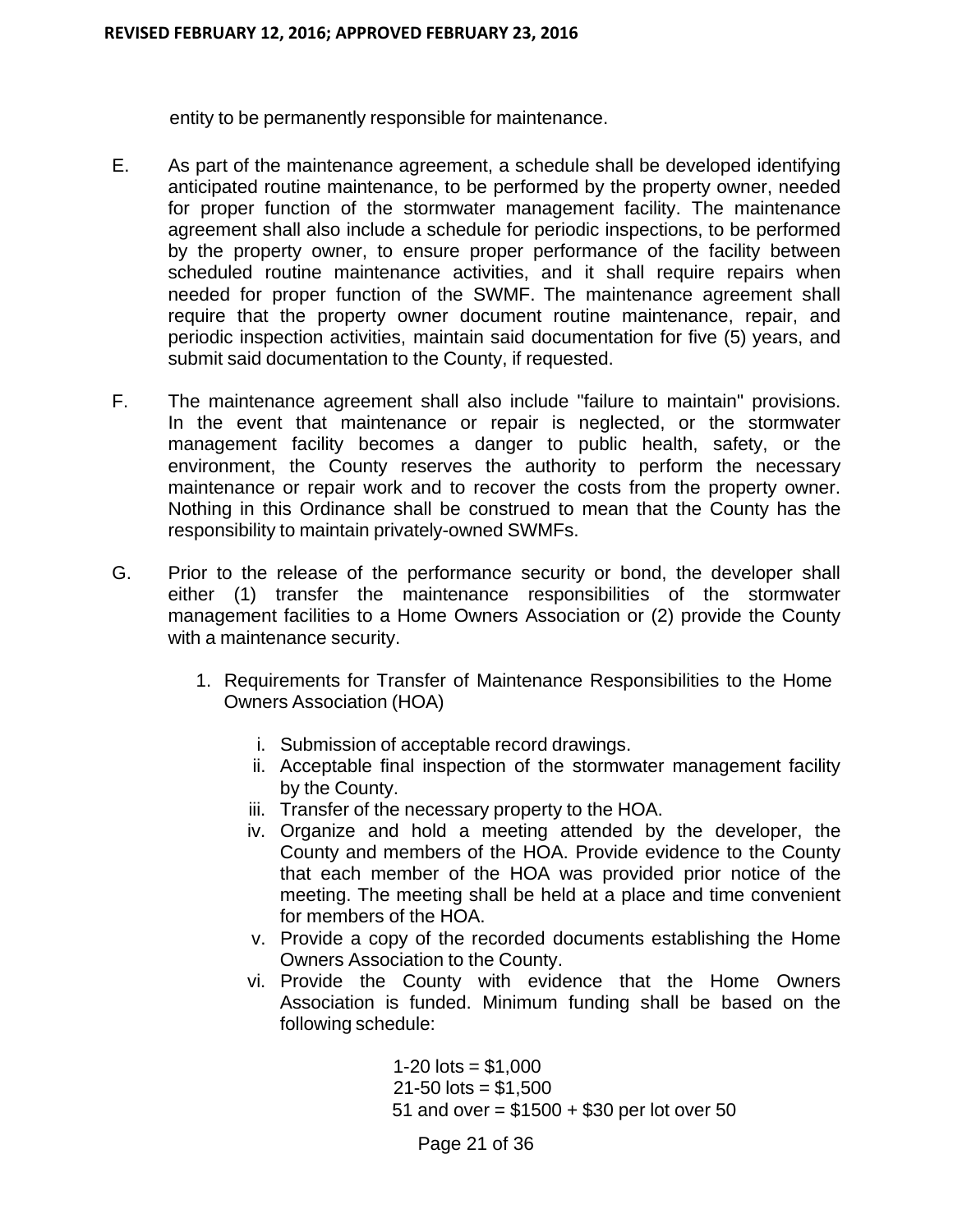entity to be permanently responsible for maintenance.

- E. As part of the maintenance agreement, a schedule shall be developed identifying anticipated routine maintenance, to be performed by the property owner, needed for proper function of the stormwater management facility. The maintenance agreement shall also include a schedule for periodic inspections, to be performed by the property owner, to ensure proper performance of the facility between scheduled routine maintenance activities, and it shall require repairs when needed for proper function of the SWMF. The maintenance agreement shall require that the property owner document routine maintenance, repair, and periodic inspection activities, maintain said documentation for five (5) years, and submit said documentation to the County, if requested.
- F. The maintenance agreement shall also include "failure to maintain" provisions. In the event that maintenance or repair is neglected, or the stormwater management facility becomes a danger to public health, safety, or the environment, the County reserves the authority to perform the necessary maintenance or repair work and to recover the costs from the property owner. Nothing in this Ordinance shall be construed to mean that the County has the responsibility to maintain privately-owned SWMFs.
- G. Prior to the release of the performance security or bond, the developer shall either (1) transfer the maintenance responsibilities of the stormwater management facilities to a Home Owners Association or (2) provide the County with a maintenance security.
	- 1. Requirements for Transfer of Maintenance Responsibilities to the Home Owners Association (HOA)
		- i. Submission of acceptable record drawings.
		- ii. Acceptable final inspection of the stormwater management facility by the County.
		- iii. Transfer of the necessary property to the HOA.
		- iv. Organize and hold a meeting attended by the developer, the County and members of the HOA. Provide evidence to the County that each member of the HOA was provided prior notice of the meeting. The meeting shall be held at a place and time convenient for members of the HOA.
		- v. Provide a copy of the recorded documents establishing the Home Owners Association to the County.
		- vi. Provide the County with evidence that the Home Owners Association is funded. Minimum funding shall be based on the following schedule:

1-20  $\text{lots} = $1,000$  $21 - 50$  lots = \$1,500 51 and over = \$1500 + \$30 per lot over 50

Page 21 of 36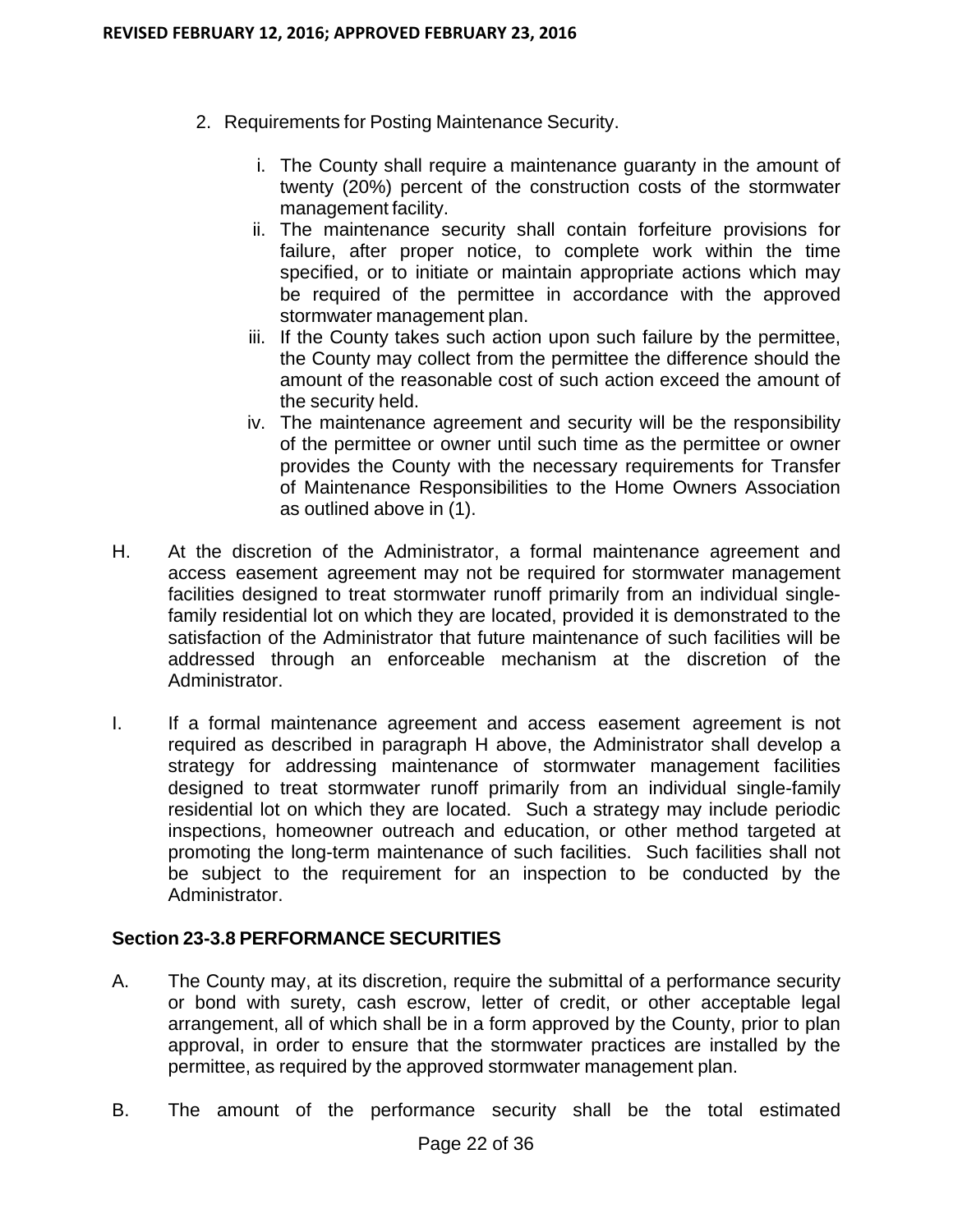- 2. Requirements for Posting Maintenance Security.
	- i. The County shall require a maintenance guaranty in the amount of twenty (20%) percent of the construction costs of the stormwater management facility.
	- ii. The maintenance security shall contain forfeiture provisions for failure, after proper notice, to complete work within the time specified, or to initiate or maintain appropriate actions which may be required of the permittee in accordance with the approved stormwater management plan.
	- iii. If the County takes such action upon such failure by the permittee, the County may collect from the permittee the difference should the amount of the reasonable cost of such action exceed the amount of the security held.
	- iv. The maintenance agreement and security will be the responsibility of the permittee or owner until such time as the permittee or owner provides the County with the necessary requirements for Transfer of Maintenance Responsibilities to the Home Owners Association as outlined above in (1).
- H. At the discretion of the Administrator, a formal maintenance agreement and access easement agreement may not be required for stormwater management facilities designed to treat stormwater runoff primarily from an individual singlefamily residential lot on which they are located, provided it is demonstrated to the satisfaction of the Administrator that future maintenance of such facilities will be addressed through an enforceable mechanism at the discretion of the Administrator.
- I. If a formal maintenance agreement and access easement agreement is not required as described in paragraph H above, the Administrator shall develop a strategy for addressing maintenance of stormwater management facilities designed to treat stormwater runoff primarily from an individual single-family residential lot on which they are located. Such a strategy may include periodic inspections, homeowner outreach and education, or other method targeted at promoting the long-term maintenance of such facilities. Such facilities shall not be subject to the requirement for an inspection to be conducted by the Administrator.

## **Section 23-3.8 PERFORMANCE SECURITIES**

- A. The County may, at its discretion, require the submittal of a performance security or bond with surety, cash escrow, letter of credit, or other acceptable legal arrangement, all of which shall be in a form approved by the County, prior to plan approval, in order to ensure that the stormwater practices are installed by the permittee, as required by the approved stormwater management plan.
- B. The amount of the performance security shall be the total estimated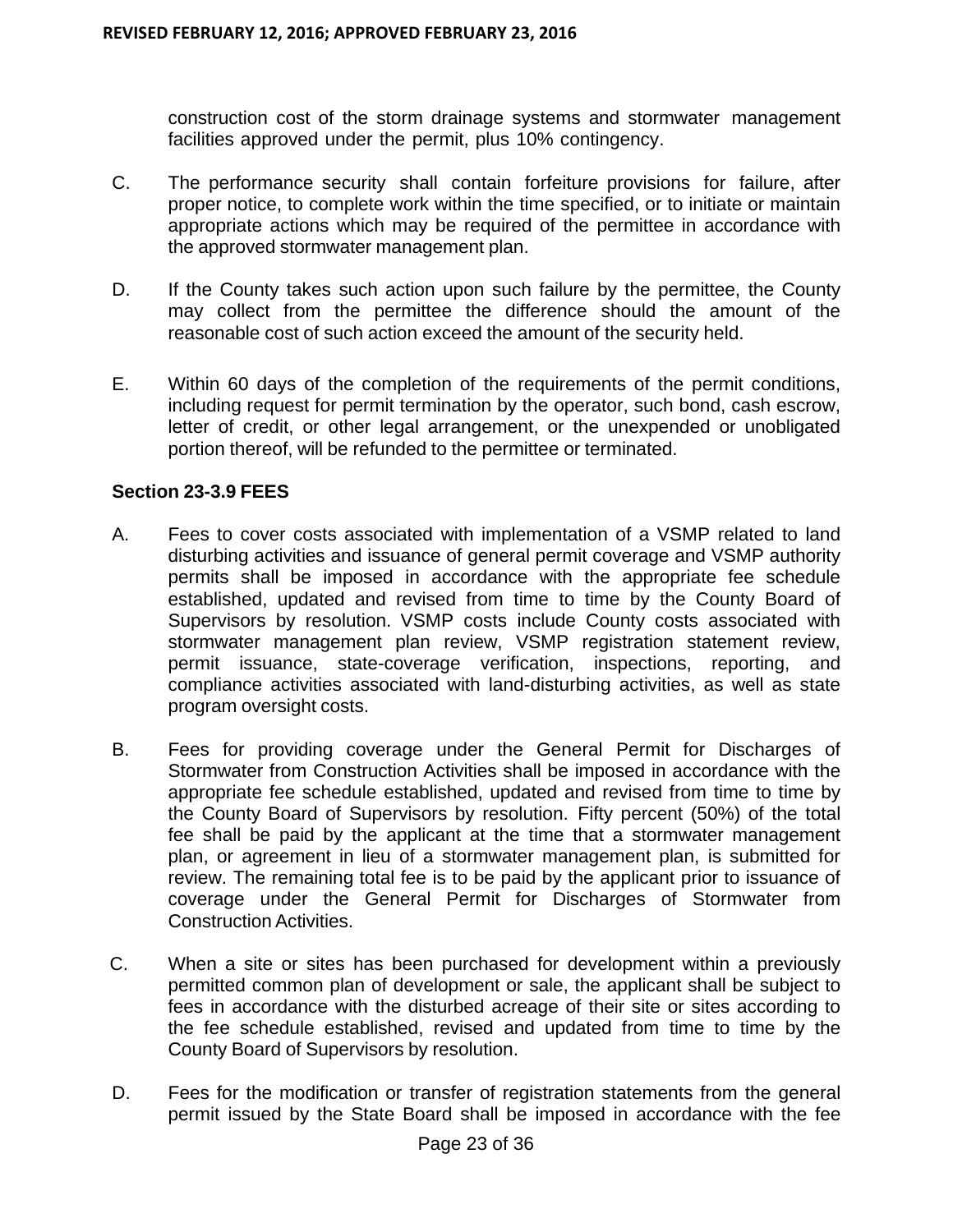construction cost of the storm drainage systems and stormwater management facilities approved under the permit, plus 10% contingency.

- C. The performance security shall contain forfeiture provisions for failure, after proper notice, to complete work within the time specified, or to initiate or maintain appropriate actions which may be required of the permittee in accordance with the approved stormwater management plan.
- D. If the County takes such action upon such failure by the permittee, the County may collect from the permittee the difference should the amount of the reasonable cost of such action exceed the amount of the security held.
- E. Within 60 days of the completion of the requirements of the permit conditions, including request for permit termination by the operator, such bond, cash escrow, letter of credit, or other legal arrangement, or the unexpended or unobligated portion thereof, will be refunded to the permittee or terminated.

## **Section 23-3.9 FEES**

- A. Fees to cover costs associated with implementation of a VSMP related to land disturbing activities and issuance of general permit coverage and VSMP authority permits shall be imposed in accordance with the appropriate fee schedule established, updated and revised from time to time by the County Board of Supervisors by resolution. VSMP costs include County costs associated with stormwater management plan review, VSMP registration statement review, permit issuance, state-coverage verification, inspections, reporting, and compliance activities associated with land-disturbing activities, as well as state program oversight costs.
- B. Fees for providing coverage under the General Permit for Discharges of Stormwater from Construction Activities shall be imposed in accordance with the appropriate fee schedule established, updated and revised from time to time by the County Board of Supervisors by resolution. Fifty percent (50%) of the total fee shall be paid by the applicant at the time that a stormwater management plan, or agreement in lieu of a stormwater management plan, is submitted for review. The remaining total fee is to be paid by the applicant prior to issuance of coverage under the General Permit for Discharges of Stormwater from Construction Activities.
- C. When a site or sites has been purchased for development within a previously permitted common plan of development or sale, the applicant shall be subject to fees in accordance with the disturbed acreage of their site or sites according to the fee schedule established, revised and updated from time to time by the County Board of Supervisors by resolution.
- D. Fees for the modification or transfer of registration statements from the general permit issued by the State Board shall be imposed in accordance with the fee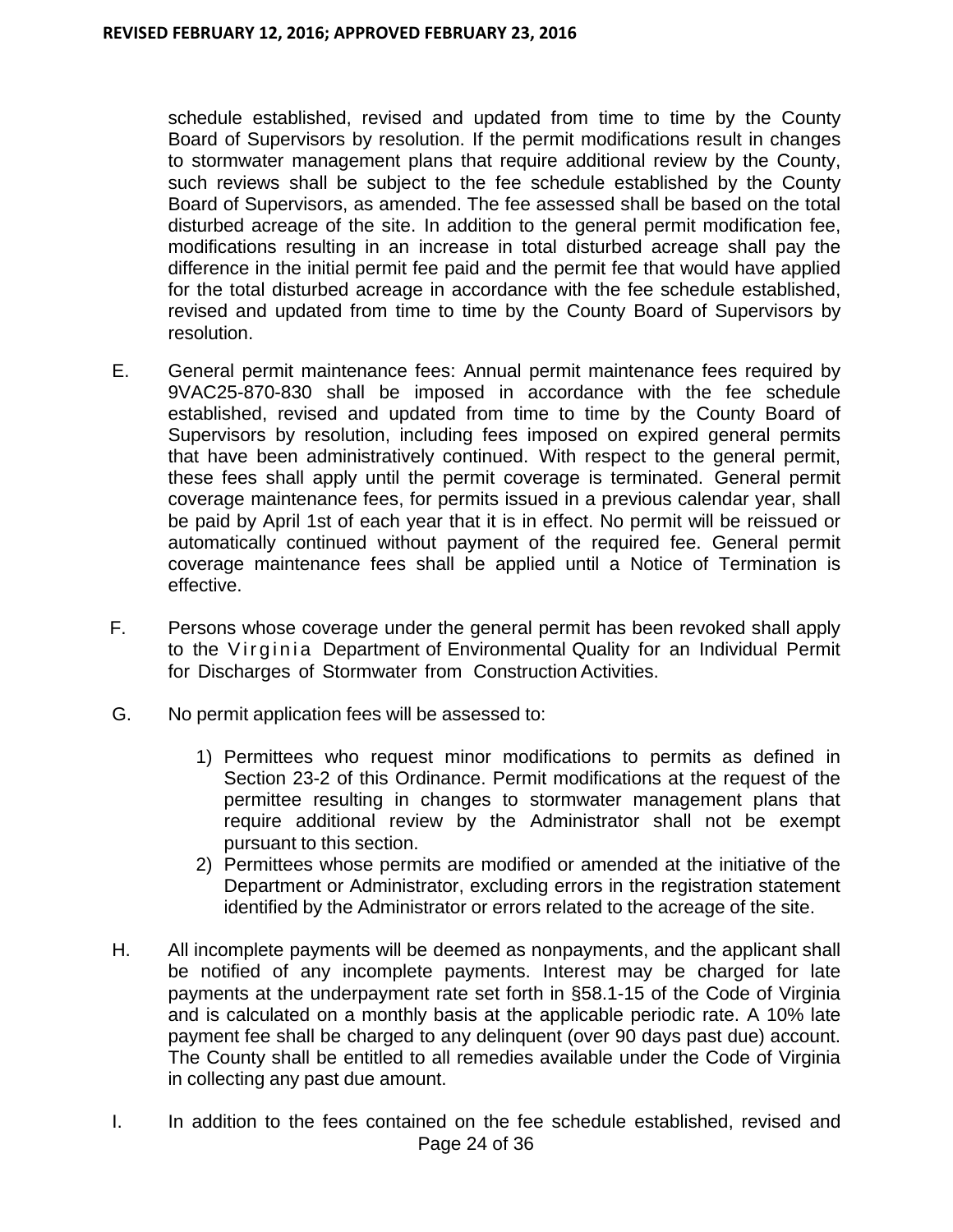schedule established, revised and updated from time to time by the County Board of Supervisors by resolution. If the permit modifications result in changes to stormwater management plans that require additional review by the County, such reviews shall be subject to the fee schedule established by the County Board of Supervisors, as amended. The fee assessed shall be based on the total disturbed acreage of the site. In addition to the general permit modification fee, modifications resulting in an increase in total disturbed acreage shall pay the difference in the initial permit fee paid and the permit fee that would have applied for the total disturbed acreage in accordance with the fee schedule established, revised and updated from time to time by the County Board of Supervisors by resolution.

- E. General permit maintenance fees: Annual permit maintenance fees required by 9VAC25-870-830 shall be imposed in accordance with the fee schedule established, revised and updated from time to time by the County Board of Supervisors by resolution, including fees imposed on expired general permits that have been administratively continued. With respect to the general permit, these fees shall apply until the permit coverage is terminated. General permit coverage maintenance fees, for permits issued in a previous calendar year, shall be paid by April 1st of each year that it is in effect. No permit will be reissued or automatically continued without payment of the required fee. General permit coverage maintenance fees shall be applied until a Notice of Termination is effective.
- F. Persons whose coverage under the general permit has been revoked shall apply to the Virginia Department of Environmental Quality for an Individual Permit for Discharges of Stormwater from Construction Activities.
- G. No permit application fees will be assessed to:
	- 1) Permittees who request minor modifications to permits as defined in Section 23-2 of this Ordinance. Permit modifications at the request of the permittee resulting in changes to stormwater management plans that require additional review by the Administrator shall not be exempt pursuant to this section.
	- 2) Permittees whose permits are modified or amended at the initiative of the Department or Administrator, excluding errors in the registration statement identified by the Administrator or errors related to the acreage of the site.
- H. All incomplete payments will be deemed as nonpayments, and the applicant shall be notified of any incomplete payments. Interest may be charged for late payments at the underpayment rate set forth in §58.1-15 of the Code of Virginia and is calculated on a monthly basis at the applicable periodic rate. A 10% late payment fee shall be charged to any delinquent (over 90 days past due) account. The County shall be entitled to all remedies available under the Code of Virginia in collecting any past due amount.
- Page 24 of 36 I. In addition to the fees contained on the fee schedule established, revised and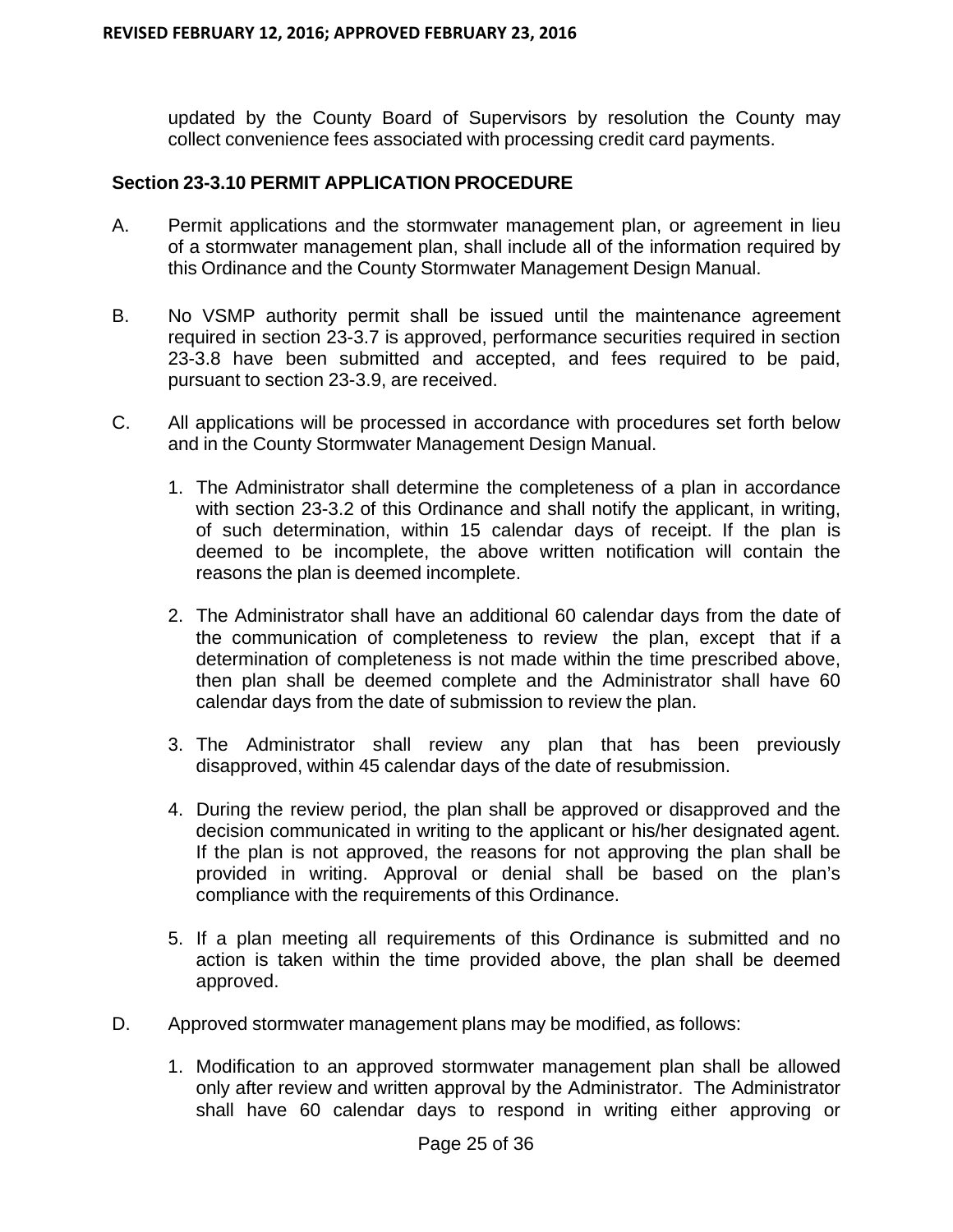updated by the County Board of Supervisors by resolution the County may collect convenience fees associated with processing credit card payments.

#### **Section 23-3.10 PERMIT APPLICATION PROCEDURE**

- A. Permit applications and the stormwater management plan, or agreement in lieu of a stormwater management plan, shall include all of the information required by this Ordinance and the County Stormwater Management Design Manual.
- B. No VSMP authority permit shall be issued until the maintenance agreement required in section 23-3.7 is approved, performance securities required in section 23-3.8 have been submitted and accepted, and fees required to be paid, pursuant to section 23-3.9, are received.
- C. All applications will be processed in accordance with procedures set forth below and in the County Stormwater Management Design Manual.
	- 1. The Administrator shall determine the completeness of a plan in accordance with section 23-3.2 of this Ordinance and shall notify the applicant, in writing, of such determination, within 15 calendar days of receipt. If the plan is deemed to be incomplete, the above written notification will contain the reasons the plan is deemed incomplete.
	- 2. The Administrator shall have an additional 60 calendar days from the date of the communication of completeness to review the plan, except that if a determination of completeness is not made within the time prescribed above, then plan shall be deemed complete and the Administrator shall have 60 calendar days from the date of submission to review the plan.
	- 3. The Administrator shall review any plan that has been previously disapproved, within 45 calendar days of the date of resubmission.
	- 4. During the review period, the plan shall be approved or disapproved and the decision communicated in writing to the applicant or his/her designated agent. If the plan is not approved, the reasons for not approving the plan shall be provided in writing. Approval or denial shall be based on the plan's compliance with the requirements of this Ordinance.
	- 5. If a plan meeting all requirements of this Ordinance is submitted and no action is taken within the time provided above, the plan shall be deemed approved.
- D. Approved stormwater management plans may be modified, as follows:
	- 1. Modification to an approved stormwater management plan shall be allowed only after review and written approval by the Administrator. The Administrator shall have 60 calendar days to respond in writing either approving or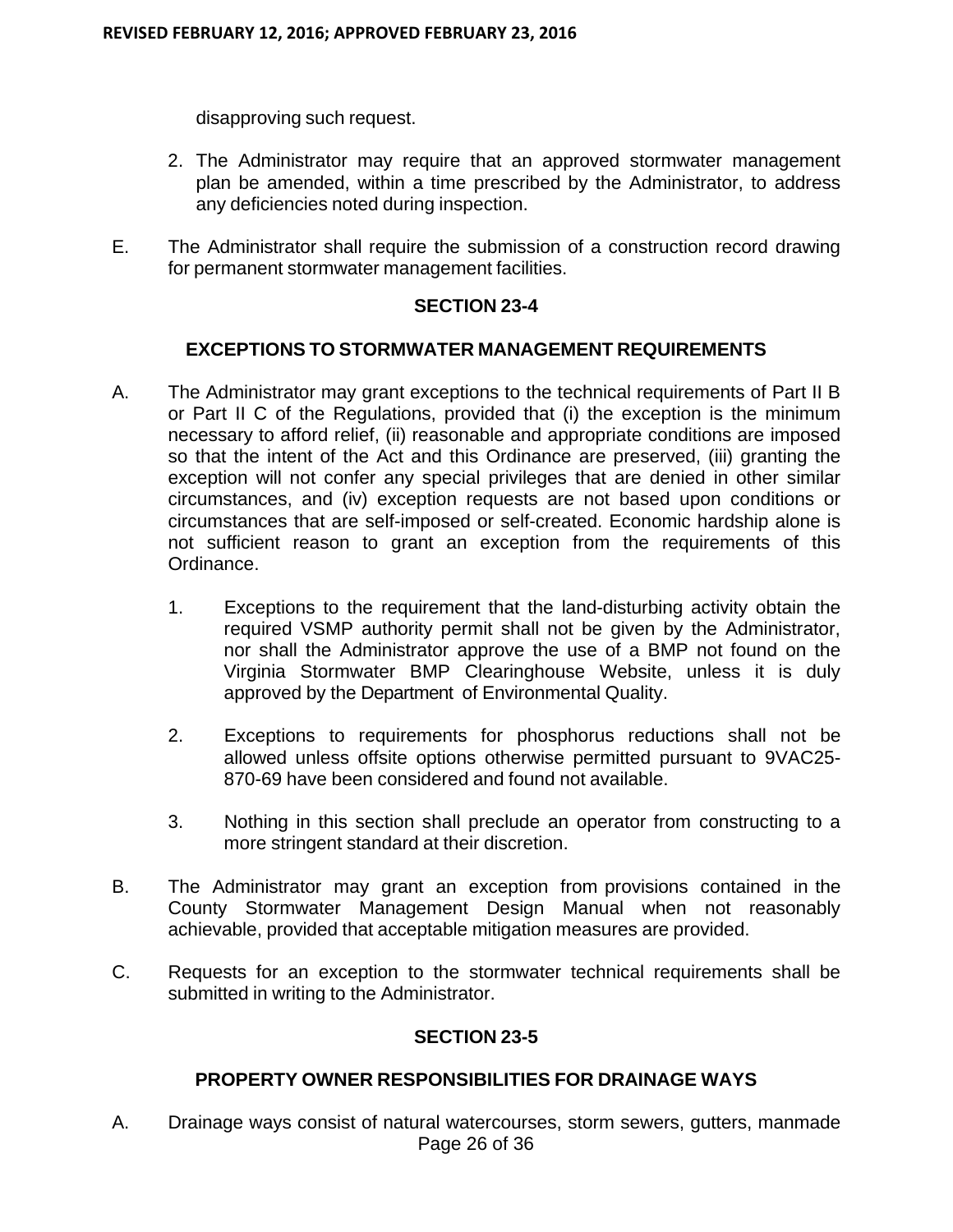disapproving such request.

- 2. The Administrator may require that an approved stormwater management plan be amended, within a time prescribed by the Administrator, to address any deficiencies noted during inspection.
- E. The Administrator shall require the submission of a construction record drawing for permanent stormwater management facilities.

#### **SECTION 23-4**

## **EXCEPTIONS TO STORMWATER MANAGEMENT REQUIREMENTS**

- A. The Administrator may grant exceptions to the technical requirements of Part II B or Part II C of the Regulations, provided that (i) the exception is the minimum necessary to afford relief, (ii) reasonable and appropriate conditions are imposed so that the intent of the Act and this Ordinance are preserved, (iii) granting the exception will not confer any special privileges that are denied in other similar circumstances, and (iv) exception requests are not based upon conditions or circumstances that are self-imposed or self-created. Economic hardship alone is not sufficient reason to grant an exception from the requirements of this Ordinance.
	- 1. Exceptions to the requirement that the land-disturbing activity obtain the required VSMP authority permit shall not be given by the Administrator, nor shall the Administrator approve the use of a BMP not found on the Virginia Stormwater BMP Clearinghouse Website, unless it is duly approved by the Department of Environmental Quality.
	- 2. Exceptions to requirements for phosphorus reductions shall not be allowed unless offsite options otherwise permitted pursuant to 9VAC25- 870-69 have been considered and found not available.
	- 3. Nothing in this section shall preclude an operator from constructing to a more stringent standard at their discretion.
- B. The Administrator may grant an exception from provisions contained in the County Stormwater Management Design Manual when not reasonably achievable, provided that acceptable mitigation measures are provided.
- C. Requests for an exception to the stormwater technical requirements shall be submitted in writing to the Administrator.

## **SECTION 23-5**

## **PROPERTY OWNER RESPONSIBILITIES FOR DRAINAGE WAYS**

Page 26 of 36 A. Drainage ways consist of natural watercourses, storm sewers, gutters, manmade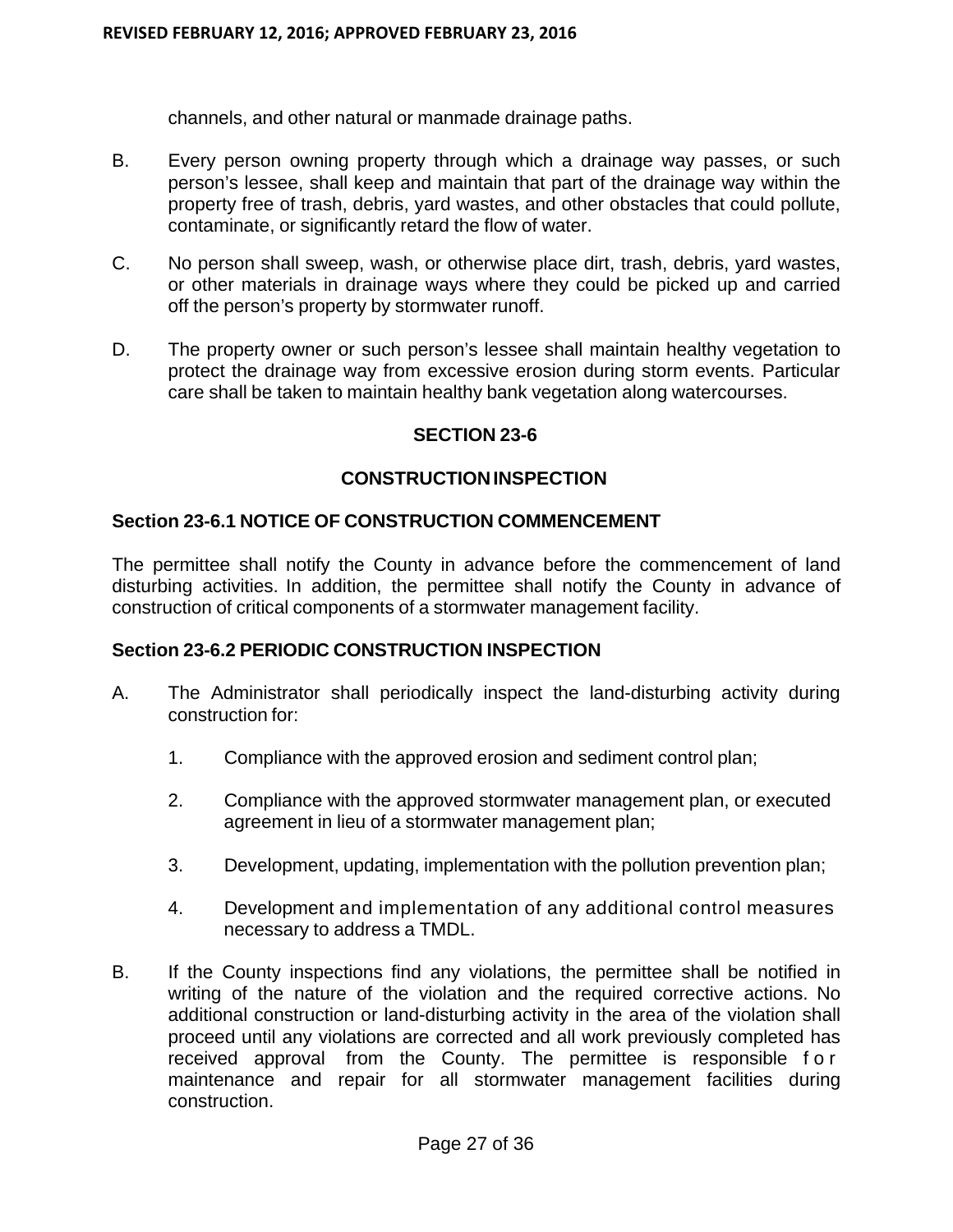channels, and other natural or manmade drainage paths.

- B. Every person owning property through which a drainage way passes, or such person's lessee, shall keep and maintain that part of the drainage way within the property free of trash, debris, yard wastes, and other obstacles that could pollute, contaminate, or significantly retard the flow of water.
- C. No person shall sweep, wash, or otherwise place dirt, trash, debris, yard wastes, or other materials in drainage ways where they could be picked up and carried off the person's property by stormwater runoff.
- D. The property owner or such person's lessee shall maintain healthy vegetation to protect the drainage way from excessive erosion during storm events. Particular care shall be taken to maintain healthy bank vegetation along watercourses.

#### **SECTION 23-6**

#### **CONSTRUCTION INSPECTION**

#### **Section 23-6.1 NOTICE OF CONSTRUCTION COMMENCEMENT**

The permittee shall notify the County in advance before the commencement of land disturbing activities. In addition, the permittee shall notify the County in advance of construction of critical components of a stormwater management facility.

## **Section 23-6.2 PERIODIC CONSTRUCTION INSPECTION**

- A. The Administrator shall periodically inspect the land-disturbing activity during construction for:
	- 1. Compliance with the approved erosion and sediment control plan;
	- 2. Compliance with the approved stormwater management plan, or executed agreement in lieu of a stormwater management plan;
	- 3. Development, updating, implementation with the pollution prevention plan;
	- 4. Development and implementation of any additional control measures necessary to address a TMDL.
- B. If the County inspections find any violations, the permittee shall be notified in writing of the nature of the violation and the required corrective actions. No additional construction or land-disturbing activity in the area of the violation shall proceed until any violations are corrected and all work previously completed has received approval from the County. The permittee is responsible f o r maintenance and repair for all stormwater management facilities during construction.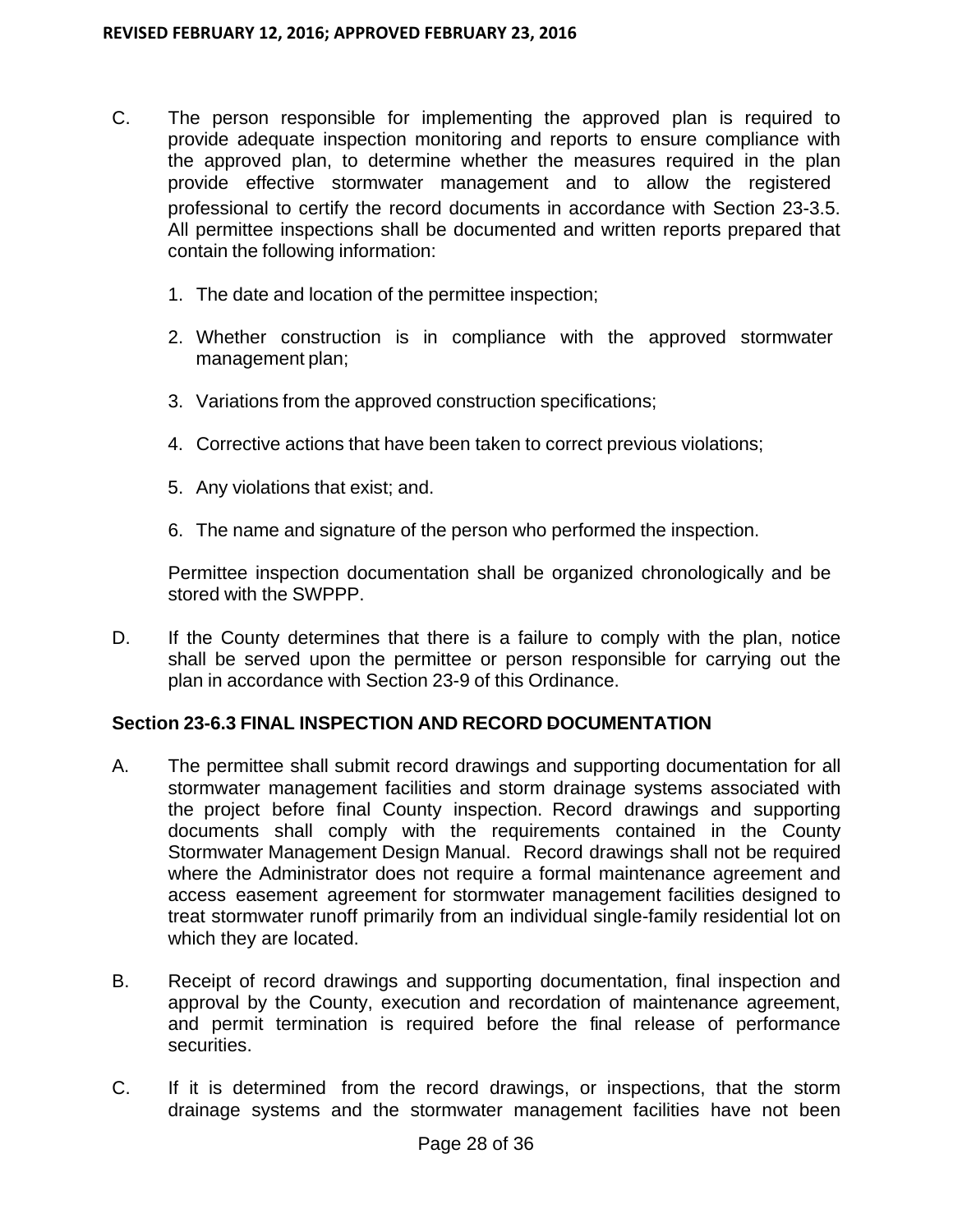- C. The person responsible for implementing the approved plan is required to provide adequate inspection monitoring and reports to ensure compliance with the approved plan, to determine whether the measures required in the plan provide effective stormwater management and to allow the registered professional to certify the record documents in accordance with Section 23-3.5. All permittee inspections shall be documented and written reports prepared that contain the following information:
	- 1. The date and location of the permittee inspection;
	- 2. Whether construction is in compliance with the approved stormwater management plan;
	- 3. Variations from the approved construction specifications;
	- 4. Corrective actions that have been taken to correct previous violations;
	- 5. Any violations that exist; and.
	- 6. The name and signature of the person who performed the inspection.

Permittee inspection documentation shall be organized chronologically and be stored with the SWPPP.

D. If the County determines that there is a failure to comply with the plan, notice shall be served upon the permittee or person responsible for carrying out the plan in accordance with Section 23-9 of this Ordinance.

## **Section 23-6.3 FINAL INSPECTION AND RECORD DOCUMENTATION**

- A. The permittee shall submit record drawings and supporting documentation for all stormwater management facilities and storm drainage systems associated with the project before final County inspection. Record drawings and supporting documents shall comply with the requirements contained in the County Stormwater Management Design Manual. Record drawings shall not be required where the Administrator does not require a formal maintenance agreement and access easement agreement for stormwater management facilities designed to treat stormwater runoff primarily from an individual single-family residential lot on which they are located.
- B. Receipt of record drawings and supporting documentation, final inspection and approval by the County, execution and recordation of maintenance agreement, and permit termination is required before the final release of performance securities.
- C. If it is determined from the record drawings, or inspections, that the storm drainage systems and the stormwater management facilities have not been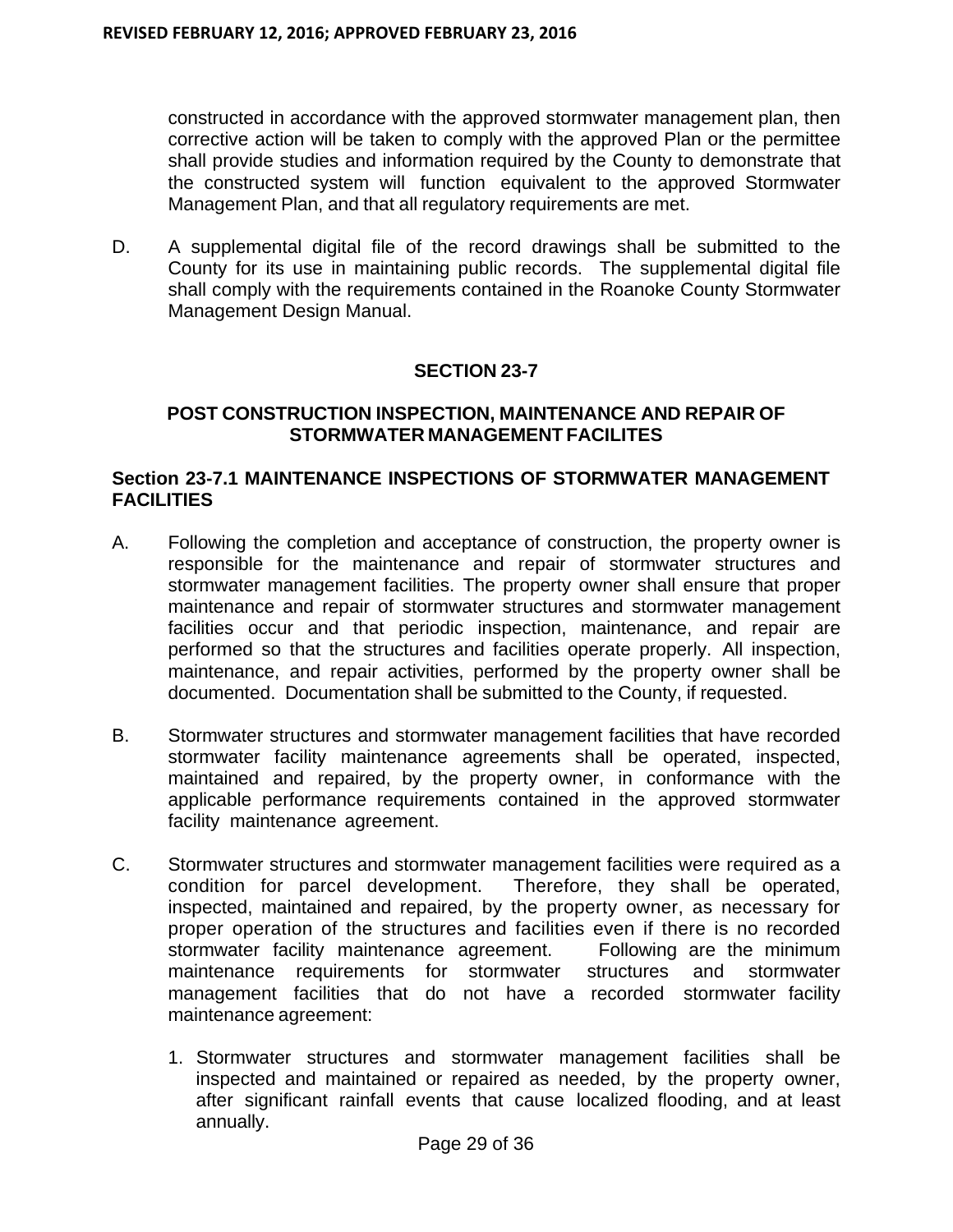constructed in accordance with the approved stormwater management plan, then corrective action will be taken to comply with the approved Plan or the permittee shall provide studies and information required by the County to demonstrate that the constructed system will function equivalent to the approved Stormwater Management Plan, and that all regulatory requirements are met.

D. A supplemental digital file of the record drawings shall be submitted to the County for its use in maintaining public records. The supplemental digital file shall comply with the requirements contained in the Roanoke County Stormwater Management Design Manual.

## **SECTION 23-7**

## **POST CONSTRUCTION INSPECTION, MAINTENANCE AND REPAIR OF STORMWATER MANAGEMENT FACILITES**

## **Section 23-7.1 MAINTENANCE INSPECTIONS OF STORMWATER MANAGEMENT FACILITIES**

- A. Following the completion and acceptance of construction, the property owner is responsible for the maintenance and repair of stormwater structures and stormwater management facilities. The property owner shall ensure that proper maintenance and repair of stormwater structures and stormwater management facilities occur and that periodic inspection, maintenance, and repair are performed so that the structures and facilities operate properly. All inspection, maintenance, and repair activities, performed by the property owner shall be documented. Documentation shall be submitted to the County, if requested.
- B. Stormwater structures and stormwater management facilities that have recorded stormwater facility maintenance agreements shall be operated, inspected, maintained and repaired, by the property owner, in conformance with the applicable performance requirements contained in the approved stormwater facility maintenance agreement.
- C. Stormwater structures and stormwater management facilities were required as a condition for parcel development. Therefore, they shall be operated, inspected, maintained and repaired, by the property owner, as necessary for proper operation of the structures and facilities even if there is no recorded stormwater facility maintenance agreement. Following are the minimum maintenance requirements for stormwater structures and stormwater management facilities that do not have a recorded stormwater facility maintenance agreement:
	- 1. Stormwater structures and stormwater management facilities shall be inspected and maintained or repaired as needed, by the property owner, after significant rainfall events that cause localized flooding, and at least annually.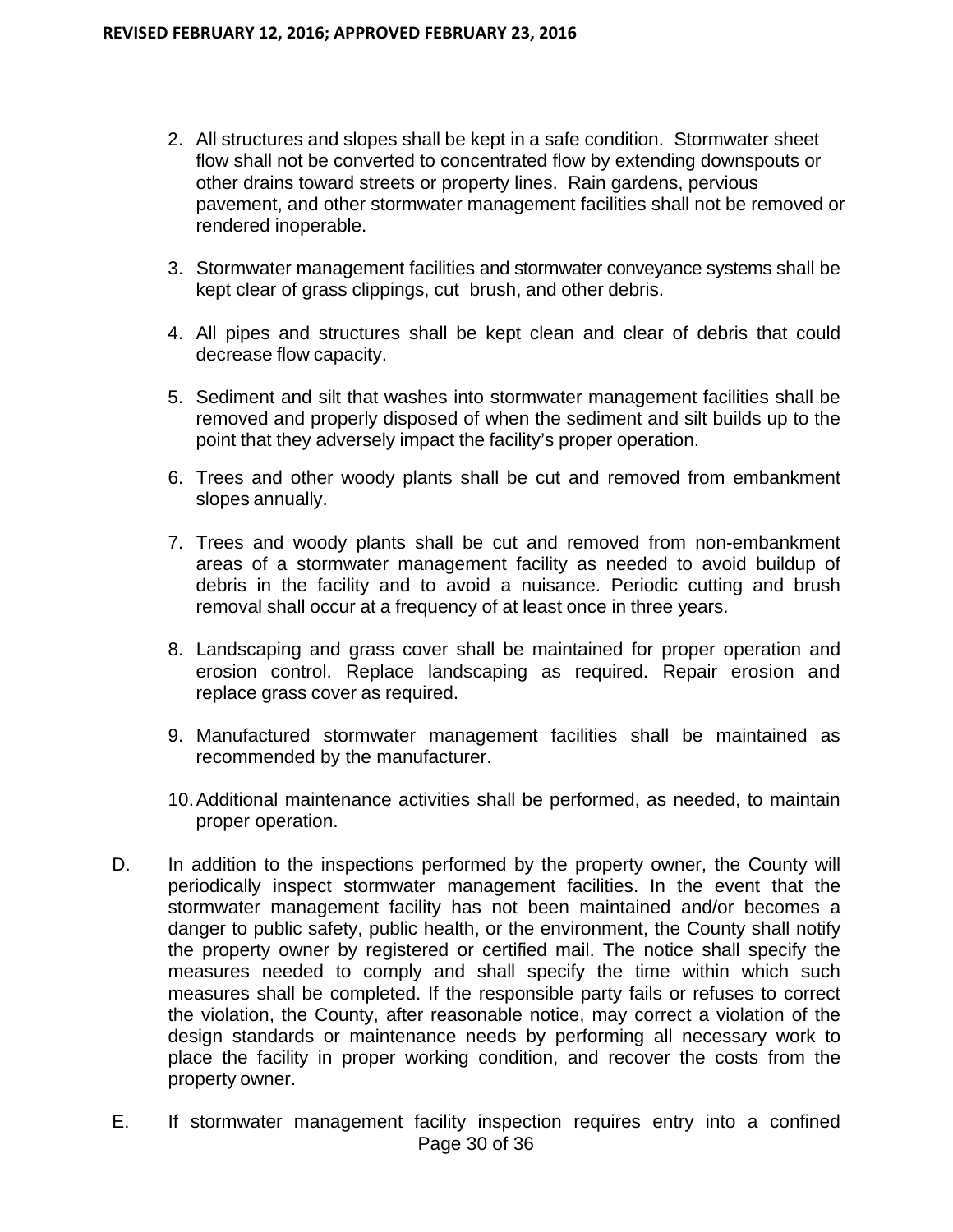- 2. All structures and slopes shall be kept in a safe condition. Stormwater sheet flow shall not be converted to concentrated flow by extending downspouts or other drains toward streets or property lines. Rain gardens, pervious pavement, and other stormwater management facilities shall not be removed or rendered inoperable.
- 3. Stormwater management facilities and stormwater conveyance systems shall be kept clear of grass clippings, cut brush, and other debris.
- 4. All pipes and structures shall be kept clean and clear of debris that could decrease flow capacity.
- 5. Sediment and silt that washes into stormwater management facilities shall be removed and properly disposed of when the sediment and silt builds up to the point that they adversely impact the facility's proper operation.
- 6. Trees and other woody plants shall be cut and removed from embankment slopes annually.
- 7. Trees and woody plants shall be cut and removed from non-embankment areas of a stormwater management facility as needed to avoid buildup of debris in the facility and to avoid a nuisance. Periodic cutting and brush removal shall occur at a frequency of at least once in three years.
- 8. Landscaping and grass cover shall be maintained for proper operation and erosion control. Replace landscaping as required. Repair erosion and replace grass cover as required.
- 9. Manufactured stormwater management facilities shall be maintained as recommended by the manufacturer.
- 10. Additional maintenance activities shall be performed, as needed, to maintain proper operation.
- D. In addition to the inspections performed by the property owner, the County will periodically inspect stormwater management facilities. In the event that the stormwater management facility has not been maintained and/or becomes a danger to public safety, public health, or the environment, the County shall notify the property owner by registered or certified mail. The notice shall specify the measures needed to comply and shall specify the time within which such measures shall be completed. If the responsible party fails or refuses to correct the violation, the County, after reasonable notice, may correct a violation of the design standards or maintenance needs by performing all necessary work to place the facility in proper working condition, and recover the costs from the property owner.
- Page 30 of 36 E. If stormwater management facility inspection requires entry into a confined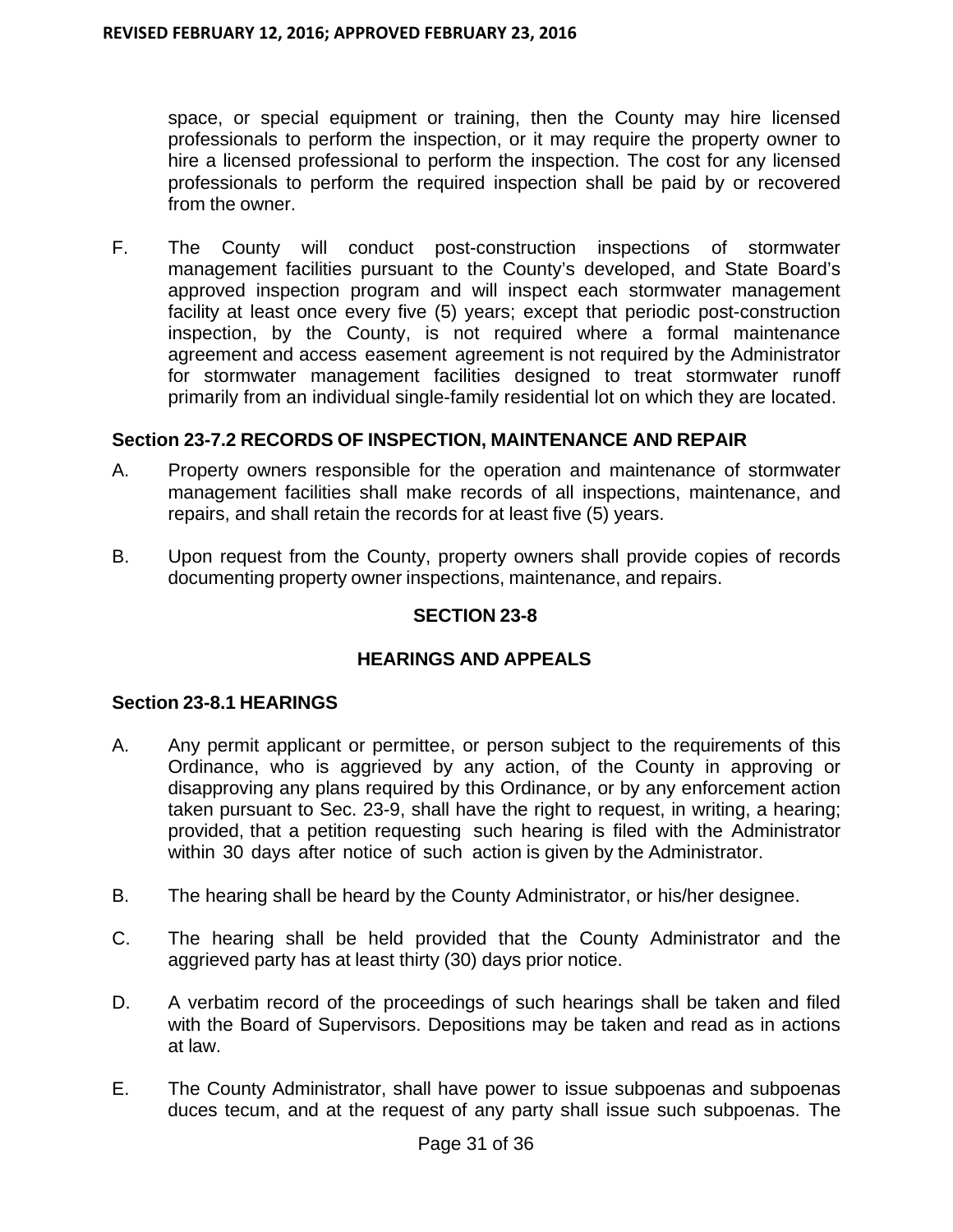space, or special equipment or training, then the County may hire licensed professionals to perform the inspection, or it may require the property owner to hire a licensed professional to perform the inspection. The cost for any licensed professionals to perform the required inspection shall be paid by or recovered from the owner.

F. The County will conduct post-construction inspections of stormwater management facilities pursuant to the County's developed, and State Board's approved inspection program and will inspect each stormwater management facility at least once every five (5) years; except that periodic post-construction inspection, by the County, is not required where a formal maintenance agreement and access easement agreement is not required by the Administrator for stormwater management facilities designed to treat stormwater runoff primarily from an individual single-family residential lot on which they are located.

## **Section 23-7.2 RECORDS OF INSPECTION, MAINTENANCE AND REPAIR**

- A. Property owners responsible for the operation and maintenance of stormwater management facilities shall make records of all inspections, maintenance, and repairs, and shall retain the records for at least five (5) years.
- B. Upon request from the County, property owners shall provide copies of records documenting property owner inspections, maintenance, and repairs.

## **SECTION 23-8**

## **HEARINGS AND APPEALS**

#### **Section 23-8.1 HEARINGS**

- A. Any permit applicant or permittee, or person subject to the requirements of this Ordinance, who is aggrieved by any action, of the County in approving or disapproving any plans required by this Ordinance, or by any enforcement action taken pursuant to Sec. 23-9, shall have the right to request, in writing, a hearing; provided, that a petition requesting such hearing is filed with the Administrator within 30 days after notice of such action is given by the Administrator.
- B. The hearing shall be heard by the County Administrator, or his/her designee.
- C. The hearing shall be held provided that the County Administrator and the aggrieved party has at least thirty (30) days prior notice.
- D. A verbatim record of the proceedings of such hearings shall be taken and filed with the Board of Supervisors. Depositions may be taken and read as in actions at law.
- E. The County Administrator, shall have power to issue subpoenas and subpoenas duces tecum, and at the request of any party shall issue such subpoenas. The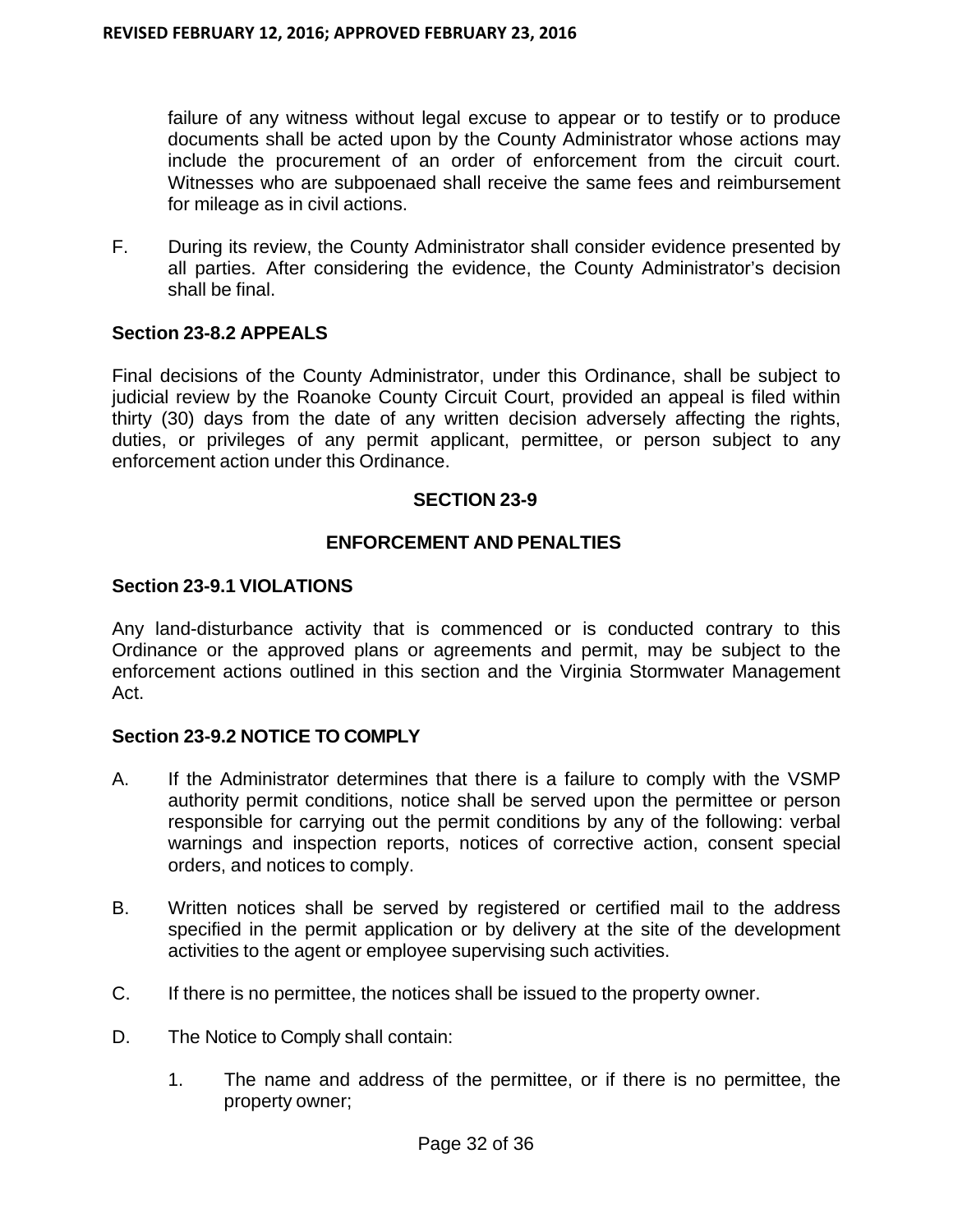failure of any witness without legal excuse to appear or to testify or to produce documents shall be acted upon by the County Administrator whose actions may include the procurement of an order of enforcement from the circuit court. Witnesses who are subpoenaed shall receive the same fees and reimbursement for mileage as in civil actions.

F. During its review, the County Administrator shall consider evidence presented by all parties. After considering the evidence, the County Administrator's decision shall be final.

## **Section 23-8.2 APPEALS**

Final decisions of the County Administrator, under this Ordinance, shall be subject to judicial review by the Roanoke County Circuit Court, provided an appeal is filed within thirty (30) days from the date of any written decision adversely affecting the rights, duties, or privileges of any permit applicant, permittee, or person subject to any enforcement action under this Ordinance.

#### **SECTION 23-9**

## **ENFORCEMENT AND PENALTIES**

#### **Section 23-9.1 VIOLATIONS**

Any land-disturbance activity that is commenced or is conducted contrary to this Ordinance or the approved plans or agreements and permit, may be subject to the enforcement actions outlined in this section and the Virginia Stormwater Management Act.

## **Section 23-9.2 NOTICE TO COMPLY**

- A. If the Administrator determines that there is a failure to comply with the VSMP authority permit conditions, notice shall be served upon the permittee or person responsible for carrying out the permit conditions by any of the following: verbal warnings and inspection reports, notices of corrective action, consent special orders, and notices to comply.
- B. Written notices shall be served by registered or certified mail to the address specified in the permit application or by delivery at the site of the development activities to the agent or employee supervising such activities.
- C. If there is no permittee, the notices shall be issued to the property owner.
- D. The Notice to Comply shall contain:
	- 1. The name and address of the permittee, or if there is no permittee, the property owner;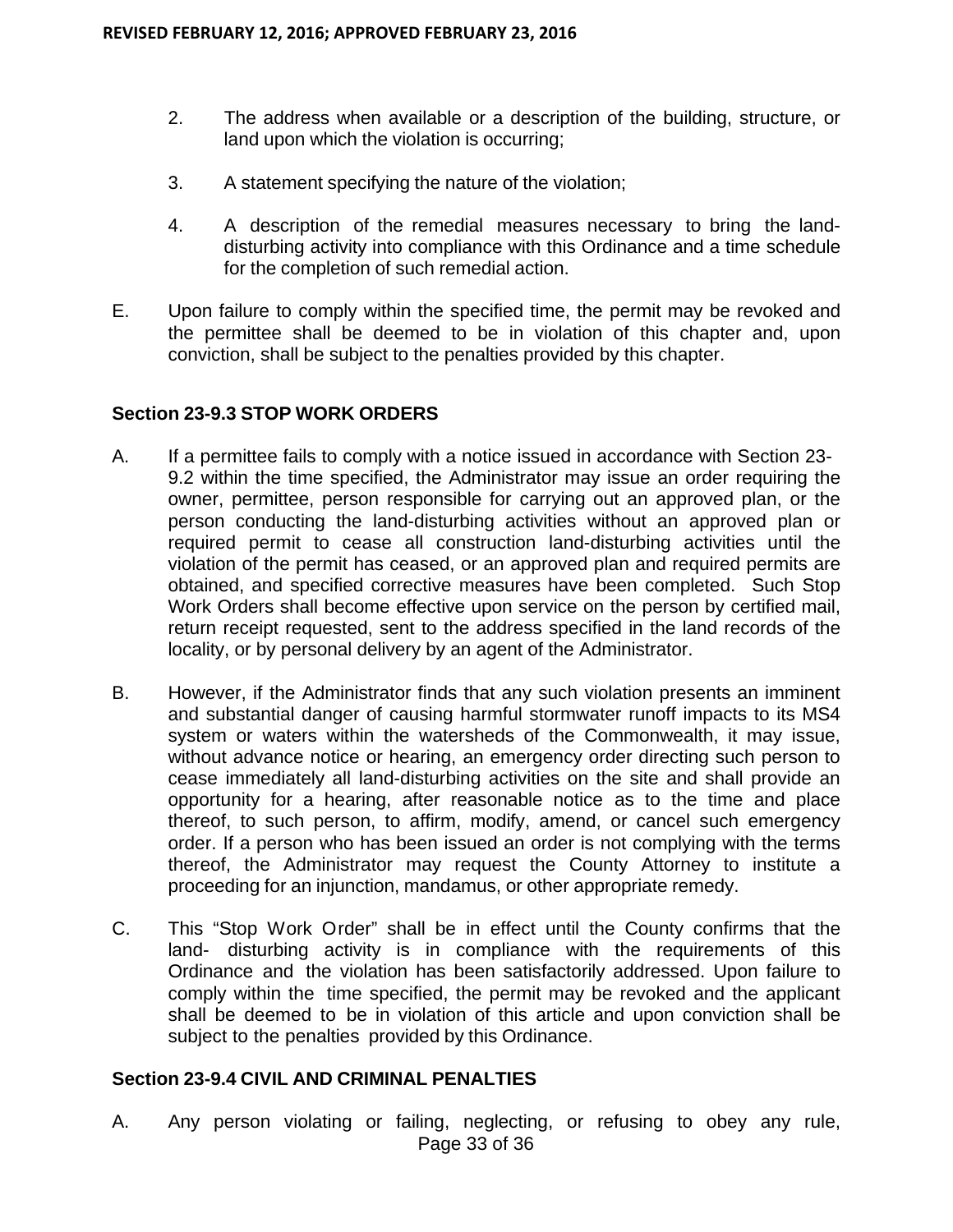- 2. The address when available or a description of the building, structure, or land upon which the violation is occurring;
- 3. A statement specifying the nature of the violation;
- 4. A description of the remedial measures necessary to bring the landdisturbing activity into compliance with this Ordinance and a time schedule for the completion of such remedial action.
- E. Upon failure to comply within the specified time, the permit may be revoked and the permittee shall be deemed to be in violation of this chapter and, upon conviction, shall be subject to the penalties provided by this chapter.

#### **Section 23-9.3 STOP WORK ORDERS**

- A. If a permittee fails to comply with a notice issued in accordance with Section 23- 9.2 within the time specified, the Administrator may issue an order requiring the owner, permittee, person responsible for carrying out an approved plan, or the person conducting the land-disturbing activities without an approved plan or required permit to cease all construction land-disturbing activities until the violation of the permit has ceased, or an approved plan and required permits are obtained, and specified corrective measures have been completed. Such Stop Work Orders shall become effective upon service on the person by certified mail, return receipt requested, sent to the address specified in the land records of the locality, or by personal delivery by an agent of the Administrator.
- B. However, if the Administrator finds that any such violation presents an imminent and substantial danger of causing harmful stormwater runoff impacts to its MS4 system or waters within the watersheds of the Commonwealth, it may issue, without advance notice or hearing, an emergency order directing such person to cease immediately all land-disturbing activities on the site and shall provide an opportunity for a hearing, after reasonable notice as to the time and place thereof, to such person, to affirm, modify, amend, or cancel such emergency order. If a person who has been issued an order is not complying with the terms thereof, the Administrator may request the County Attorney to institute a proceeding for an injunction, mandamus, or other appropriate remedy.
- C. This "Stop Work Order" shall be in effect until the County confirms that the land- disturbing activity is in compliance with the requirements of this Ordinance and the violation has been satisfactorily addressed. Upon failure to comply within the time specified, the permit may be revoked and the applicant shall be deemed to be in violation of this article and upon conviction shall be subject to the penalties provided by this Ordinance.

## **Section 23-9.4 CIVIL AND CRIMINAL PENALTIES**

Page 33 of 36 A. Any person violating or failing, neglecting, or refusing to obey any rule,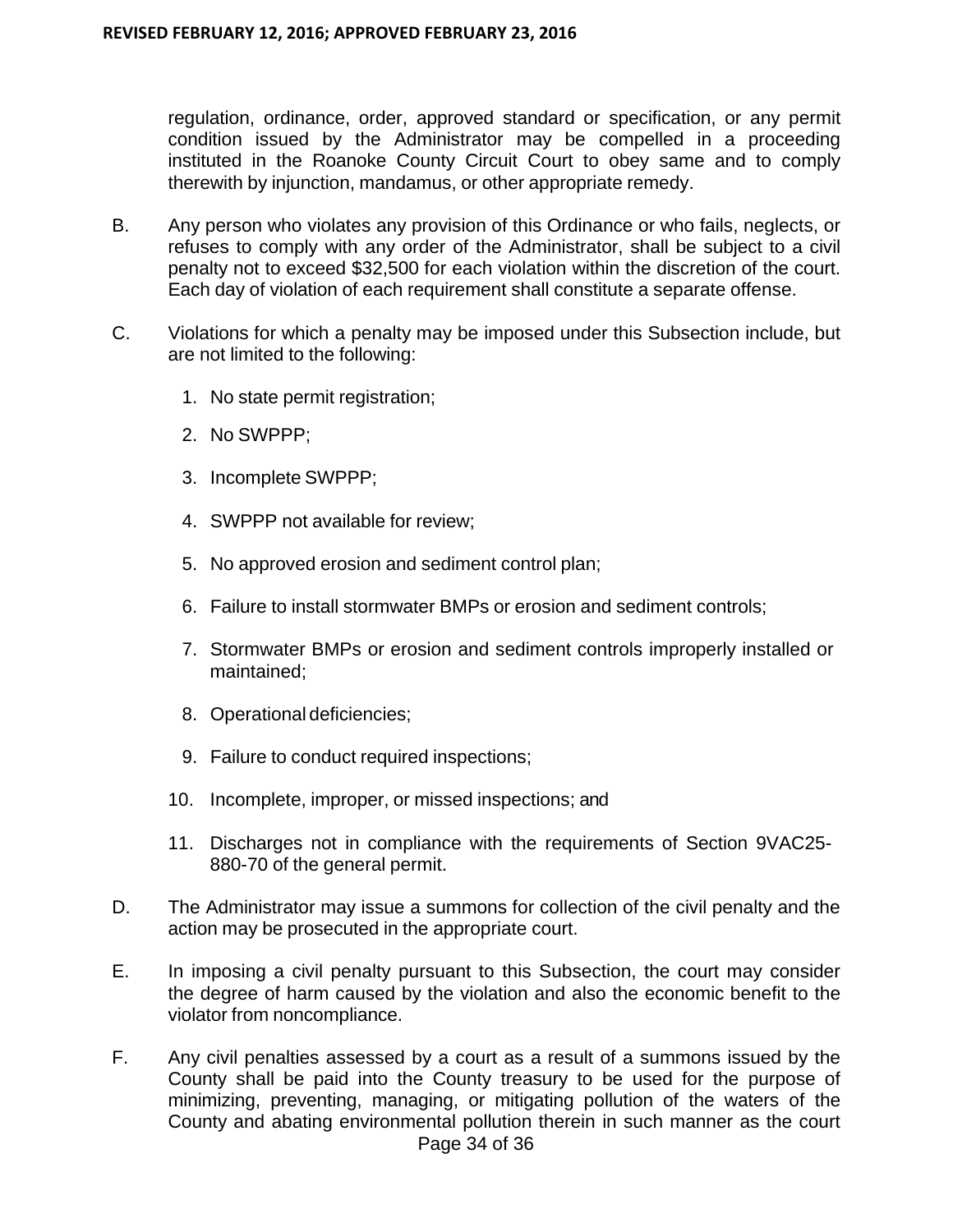regulation, ordinance, order, approved standard or specification, or any permit condition issued by the Administrator may be compelled in a proceeding instituted in the Roanoke County Circuit Court to obey same and to comply therewith by injunction, mandamus, or other appropriate remedy.

- B. Any person who violates any provision of this Ordinance or who fails, neglects, or refuses to comply with any order of the Administrator, shall be subject to a civil penalty not to exceed \$32,500 for each violation within the discretion of the court. Each day of violation of each requirement shall constitute a separate offense.
- C. Violations for which a penalty may be imposed under this Subsection include, but are not limited to the following:
	- 1. No state permit registration;
	- 2. No SWPPP;
	- 3. Incomplete SWPPP;
	- 4. SWPPP not available for review;
	- 5. No approved erosion and sediment control plan;
	- 6. Failure to install stormwater BMPs or erosion and sediment controls;
	- 7. Stormwater BMPs or erosion and sediment controls improperly installed or maintained;
	- 8. Operational deficiencies;
	- 9. Failure to conduct required inspections;
	- 10. Incomplete, improper, or missed inspections; and
	- 11. Discharges not in compliance with the requirements of Section 9VAC25- 880-70 of the general permit.
- D. The Administrator may issue a summons for collection of the civil penalty and the action may be prosecuted in the appropriate court.
- E. In imposing a civil penalty pursuant to this Subsection, the court may consider the degree of harm caused by the violation and also the economic benefit to the violator from noncompliance.
- Page 34 of 36 F. Any civil penalties assessed by a court as a result of a summons issued by the County shall be paid into the County treasury to be used for the purpose of minimizing, preventing, managing, or mitigating pollution of the waters of the County and abating environmental pollution therein in such manner as the court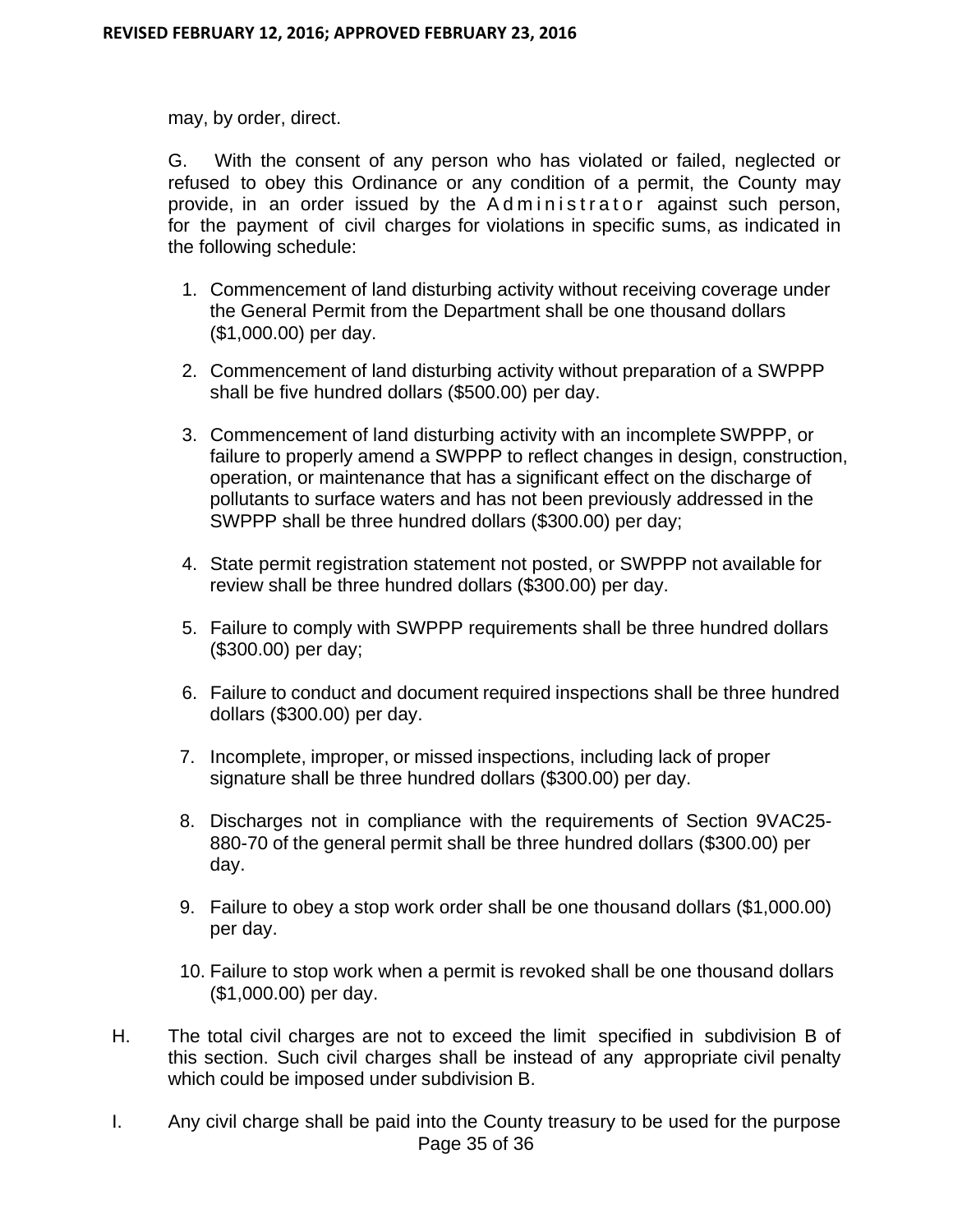may, by order, direct.

G. With the consent of any person who has violated or failed, neglected or refused to obey this Ordinance or any condition of a permit, the County may provide, in an order issued by the Administrator against such person, for the payment of civil charges for violations in specific sums, as indicated in the following schedule:

- 1. Commencement of land disturbing activity without receiving coverage under the General Permit from the Department shall be one thousand dollars (\$1,000.00) per day.
- 2. Commencement of land disturbing activity without preparation of a SWPPP shall be five hundred dollars (\$500.00) per day.
- 3. Commencement of land disturbing activity with an incomplete SWPPP, or failure to properly amend a SWPPP to reflect changes in design, construction, operation, or maintenance that has a significant effect on the discharge of pollutants to surface waters and has not been previously addressed in the SWPPP shall be three hundred dollars (\$300.00) per day;
- 4. State permit registration statement not posted, or SWPPP not available for review shall be three hundred dollars (\$300.00) per day.
- 5. Failure to comply with SWPPP requirements shall be three hundred dollars (\$300.00) per day;
- 6. Failure to conduct and document required inspections shall be three hundred dollars (\$300.00) per day.
- 7. Incomplete, improper, or missed inspections, including lack of proper signature shall be three hundred dollars (\$300.00) per day.
- 8. Discharges not in compliance with the requirements of Section 9VAC25- 880-70 of the general permit shall be three hundred dollars (\$300.00) per day.
- 9. Failure to obey a stop work order shall be one thousand dollars (\$1,000.00) per day.
- 10. Failure to stop work when a permit is revoked shall be one thousand dollars (\$1,000.00) per day.
- H. The total civil charges are not to exceed the limit specified in subdivision B of this section. Such civil charges shall be instead of any appropriate civil penalty which could be imposed under subdivision B.
- Page 35 of 36 I. Any civil charge shall be paid into the County treasury to be used for the purpose